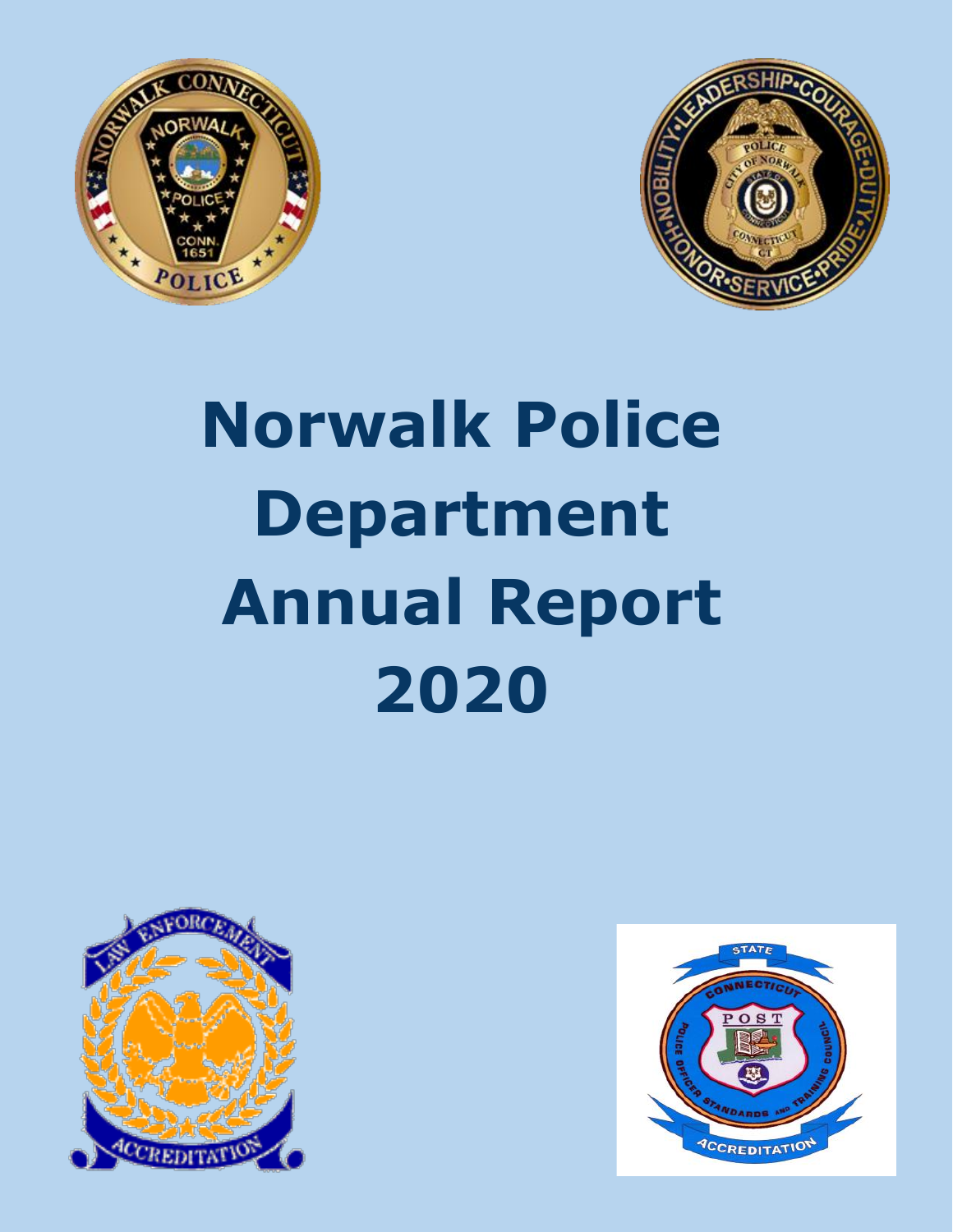



# **Norwalk Police Department Annual Report 2020**



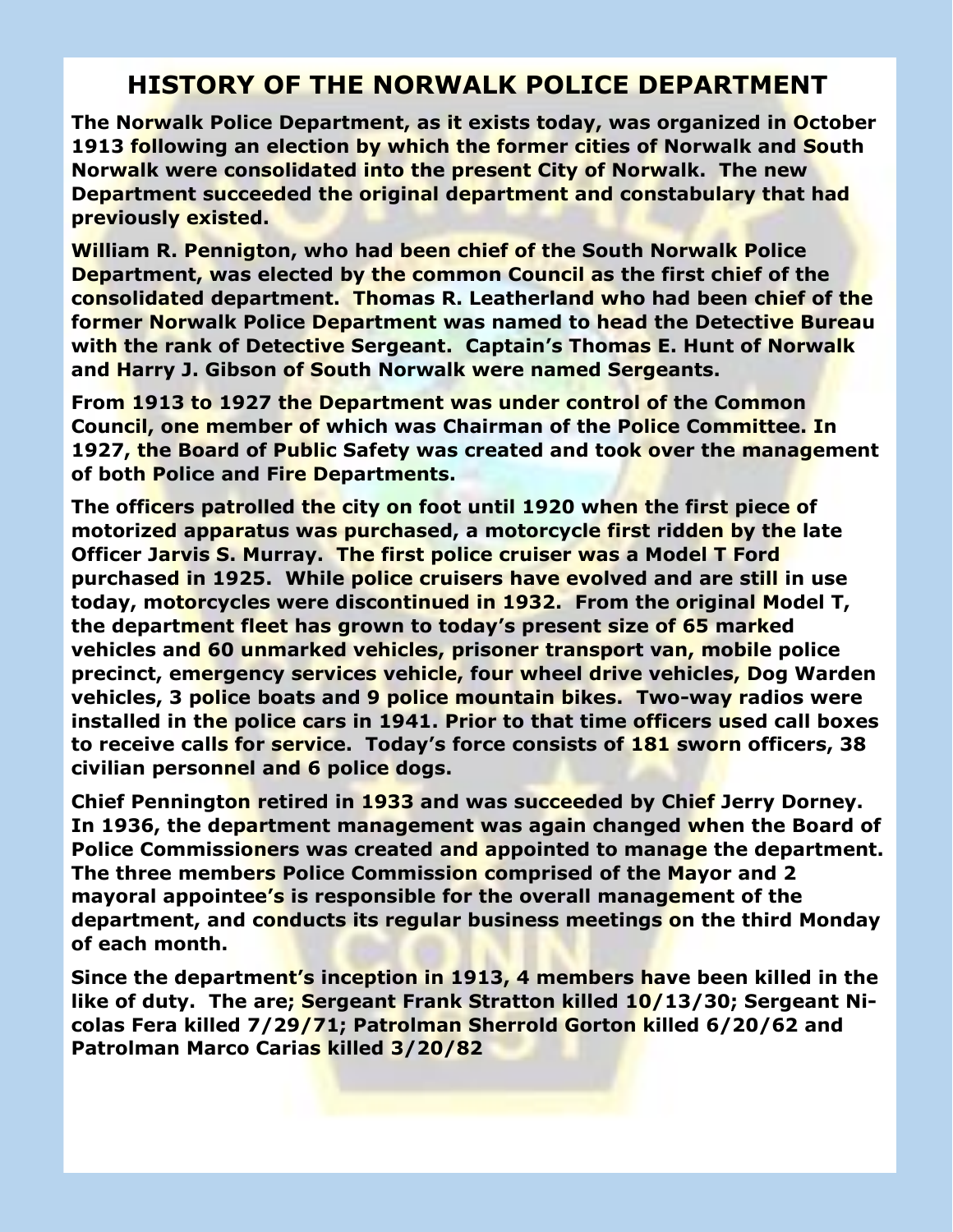### **HISTORY OF THE NORWALK POLICE DEPARTMENT**

**The Norwalk Police Department, as it exists today, was organized in October 1913 following an election by which the former cities of Norwalk and South Norwalk were consolidated into the present City of Norwalk. The new Department succeeded the original department and constabulary that had previously existed.**

**William R. Pennigton, who had been chief of the South Norwalk Police Department, was elected by the common Council as the first chief of the consolidated department. Thomas R. Leatherland who had been chief of the former Norwalk Police Department was named to head the Detective Bureau with the rank of Detective Sergeant. Captain's Thomas E. Hunt of Norwalk and Harry J. Gibson of South Norwalk were named Sergeants.**

**From 1913 to 1927 the Department was under control of the Common Council, one member of which was Chairman of the Police Committee. In 1927, the Board of Public Safety was created and took over the management of both Police and Fire Departments.**

**The officers patrolled the city on foot until 1920 when the first piece of motorized apparatus was purchased, a motorcycle first ridden by the late Officer Jarvis S. Murray. The first police cruiser was a Model T Ford purchased in 1925. While police cruisers have evolved and are still in use today, motorcycles were discontinued in 1932. From the original Model T, the department fleet has grown to today's present size of 65 marked vehicles and 60 unmarked vehicles, prisoner transport van, mobile police precinct, emergency services vehicle, four wheel drive vehicles, Dog Warden vehicles, 3 police boats and 9 police mountain bikes. Two-way radios were installed in the police cars in 1941. Prior to that time officers used call boxes to receive calls for service. Today's force consists of 181 sworn officers, 38 civilian personnel and 6 police dogs.**

**Chief Pennington retired in 1933 and was succeeded by Chief Jerry Dorney. In 1936, the department management was again changed when the Board of Police Commissioners was created and appointed to manage the department. The three members Police Commission comprised of the Mayor and 2 mayoral appointee's is responsible for the overall management of the department, and conducts its regular business meetings on the third Monday of each month.** 

**Since the department's inception in 1913, 4 members have been killed in the like of duty. The are; Sergeant Frank Stratton killed 10/13/30; Sergeant Nicolas Fera killed 7/29/71; Patrolman Sherrold Gorton killed 6/20/62 and Patrolman Marco Carias killed 3/20/82**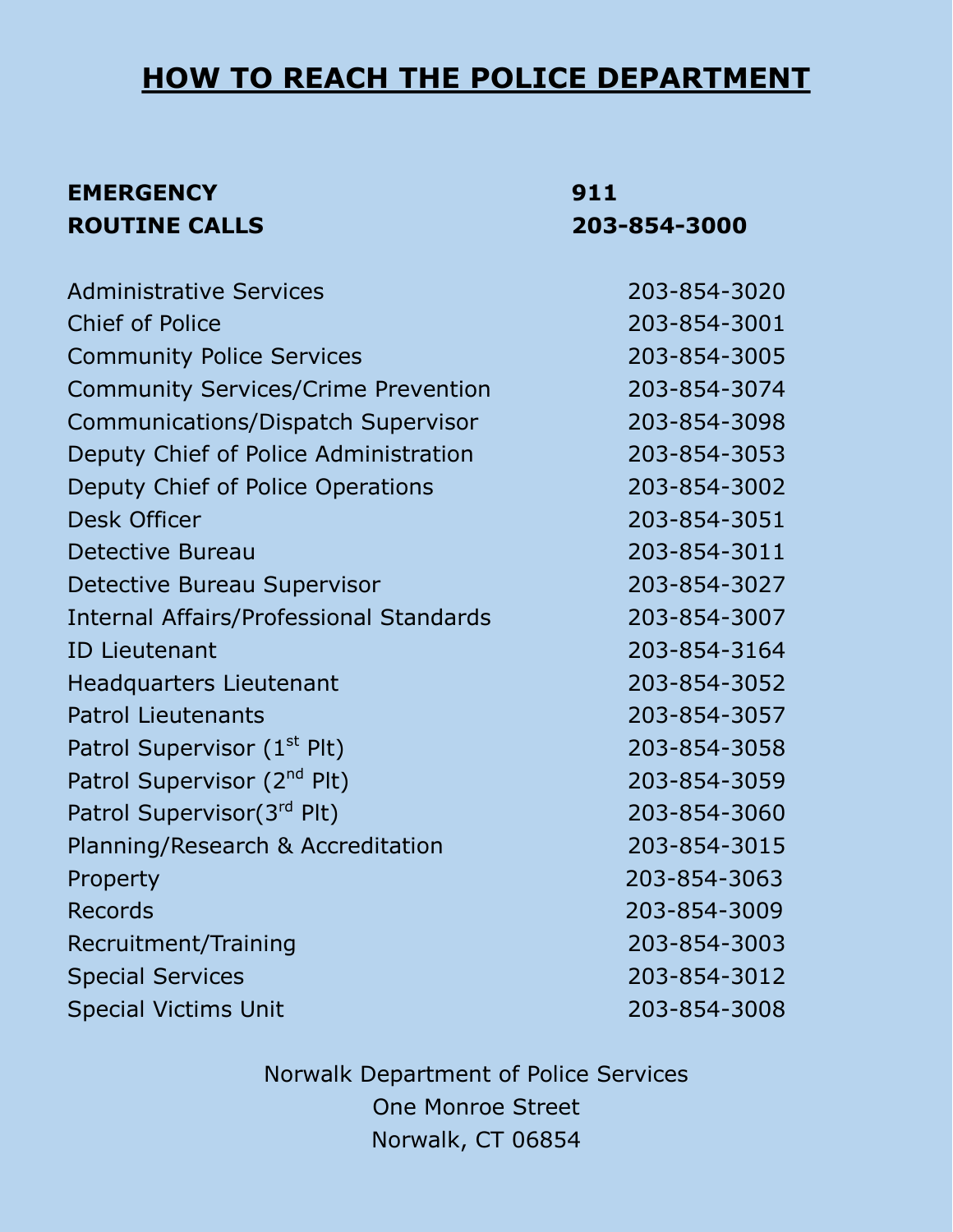### **HOW TO REACH THE POLICE DEPARTMENT**

### **EMERGENCY 911 ROUTINE CALLS 203-854-3000**

| <b>Administrative Services</b>                 | 203-854-3020 |
|------------------------------------------------|--------------|
| <b>Chief of Police</b>                         | 203-854-3001 |
| <b>Community Police Services</b>               | 203-854-3005 |
| <b>Community Services/Crime Prevention</b>     | 203-854-3074 |
| Communications/Dispatch Supervisor             | 203-854-3098 |
| Deputy Chief of Police Administration          | 203-854-3053 |
| Deputy Chief of Police Operations              | 203-854-3002 |
| <b>Desk Officer</b>                            | 203-854-3051 |
| Detective Bureau                               | 203-854-3011 |
| <b>Detective Bureau Supervisor</b>             | 203-854-3027 |
| <b>Internal Affairs/Professional Standards</b> | 203-854-3007 |
| <b>ID Lieutenant</b>                           | 203-854-3164 |
| <b>Headquarters Lieutenant</b>                 | 203-854-3052 |
| <b>Patrol Lieutenants</b>                      | 203-854-3057 |
| Patrol Supervisor (1 <sup>st</sup> Plt)        | 203-854-3058 |
| Patrol Supervisor (2 <sup>nd</sup> Plt)        | 203-854-3059 |
| Patrol Supervisor(3rd Plt)                     | 203-854-3060 |
| Planning/Research & Accreditation              | 203-854-3015 |
| Property                                       | 203-854-3063 |
| <b>Records</b>                                 | 203-854-3009 |
| Recruitment/Training                           | 203-854-3003 |
| <b>Special Services</b>                        | 203-854-3012 |
| <b>Special Victims Unit</b>                    | 203-854-3008 |

Norwalk Department of Police Services One Monroe Street Norwalk, CT 06854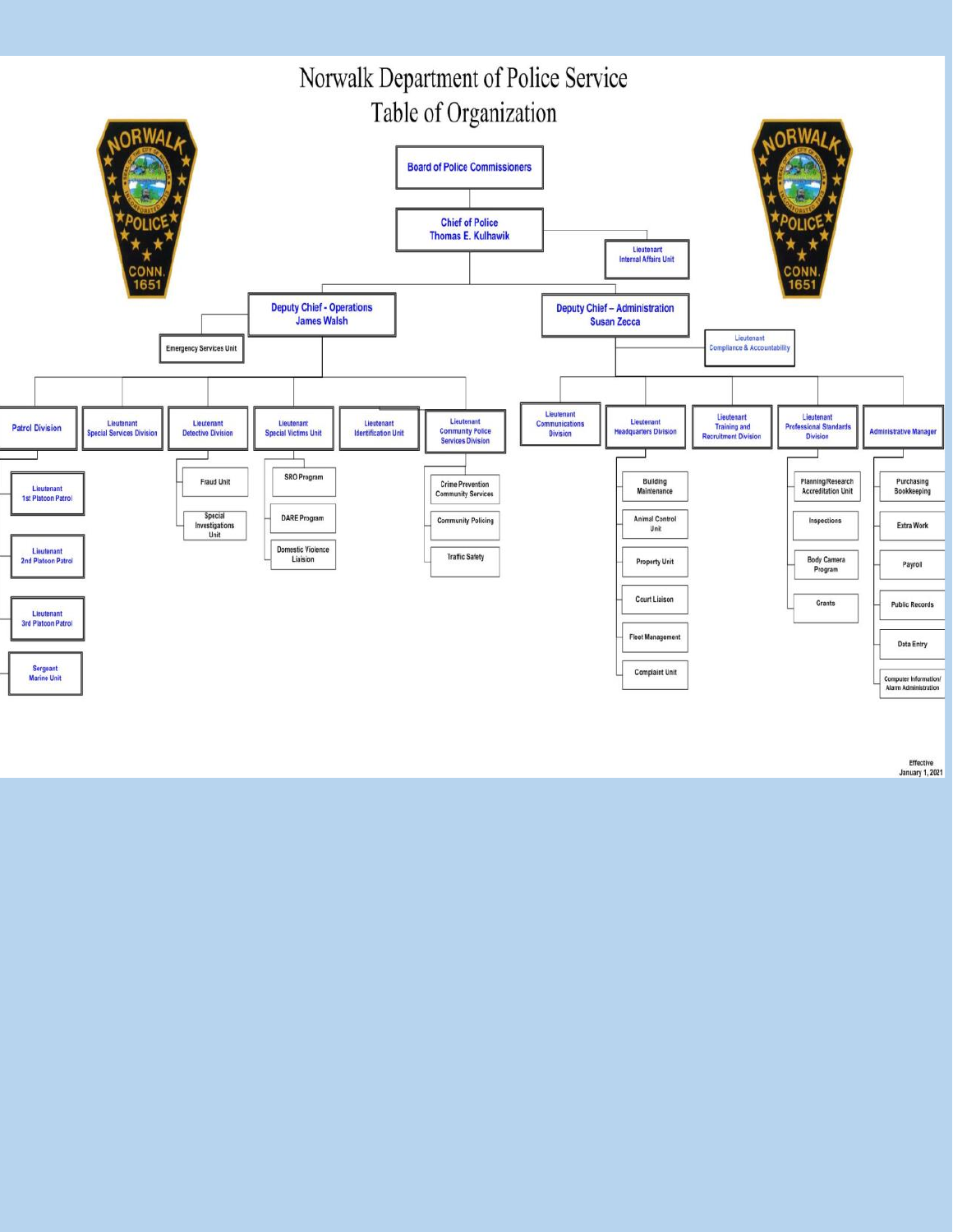

Effective<br>January 1, 2021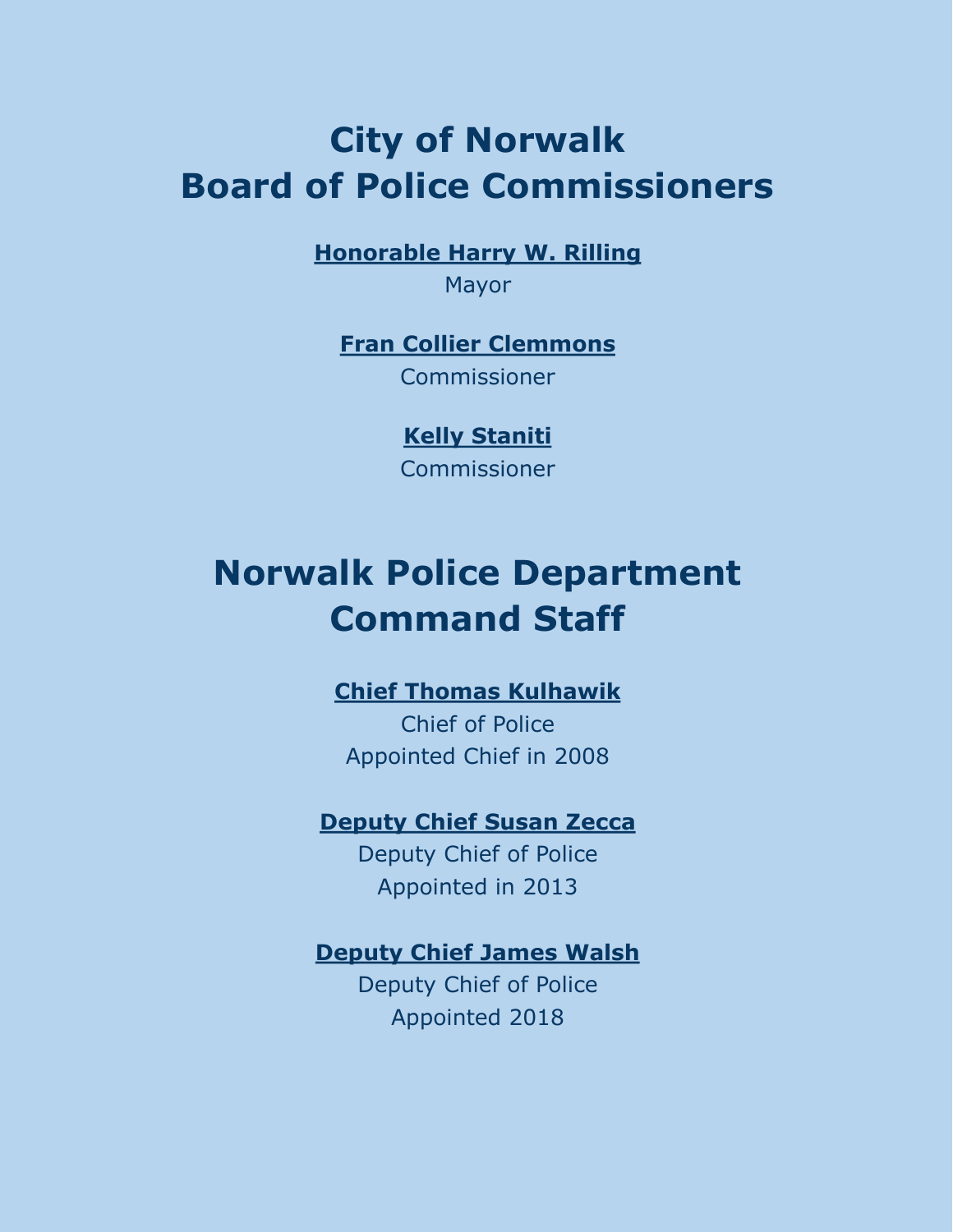### **City of Norwalk Board of Police Commissioners**

**Honorable Harry W. Rilling**

Mayor

**Fran Collier Clemmons** Commissioner

> **Kelly Staniti** Commissioner

# **Norwalk Police Department Command Staff**

### **Chief Thomas Kulhawik**

Chief of Police Appointed Chief in 2008

### **Deputy Chief Susan Zecca**

Deputy Chief of Police Appointed in 2013

### **Deputy Chief James Walsh**

Deputy Chief of Police Appointed 2018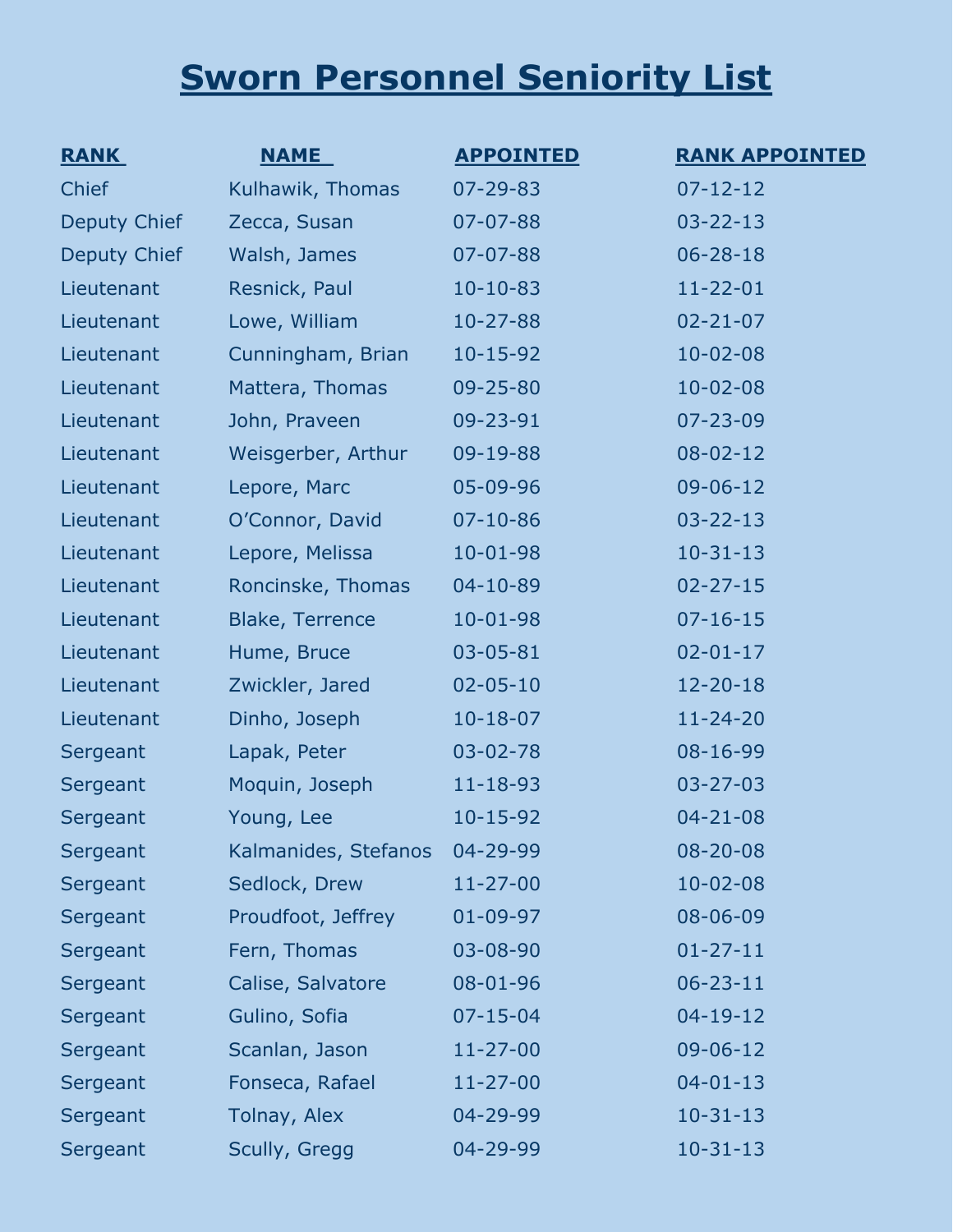# **Sworn Personnel Seniority List**

| <b>RANK</b>         | <b>NAME</b>            | <b>APPOINTED</b> | <b>RANK APPOINTED</b> |
|---------------------|------------------------|------------------|-----------------------|
| Chief               | Kulhawik, Thomas       | $07 - 29 - 83$   | $07 - 12 - 12$        |
| Deputy Chief        | Zecca, Susan           | $07 - 07 - 88$   | $03 - 22 - 13$        |
| <b>Deputy Chief</b> | Walsh, James           | 07-07-88         | $06 - 28 - 18$        |
| Lieutenant          | Resnick, Paul          | $10-10-83$       | $11 - 22 - 01$        |
| Lieutenant          | Lowe, William          | $10 - 27 - 88$   | $02 - 21 - 07$        |
| Lieutenant          | Cunningham, Brian      | $10 - 15 - 92$   | $10 - 02 - 08$        |
| Lieutenant          | Mattera, Thomas        | $09 - 25 - 80$   | $10 - 02 - 08$        |
| Lieutenant          | John, Praveen          | 09-23-91         | $07 - 23 - 09$        |
| Lieutenant          | Weisgerber, Arthur     | 09-19-88         | $08 - 02 - 12$        |
| Lieutenant          | Lepore, Marc           | 05-09-96         | $09 - 06 - 12$        |
| Lieutenant          | O'Connor, David        | $07 - 10 - 86$   | $03 - 22 - 13$        |
| Lieutenant          | Lepore, Melissa        | $10 - 01 - 98$   | $10-31-13$            |
| Lieutenant          | Roncinske, Thomas      | $04 - 10 - 89$   | $02 - 27 - 15$        |
| Lieutenant          | <b>Blake, Terrence</b> | $10 - 01 - 98$   | $07 - 16 - 15$        |
| Lieutenant          | Hume, Bruce            | $03 - 05 - 81$   | $02 - 01 - 17$        |
| Lieutenant          | Zwickler, Jared        | $02 - 05 - 10$   | $12 - 20 - 18$        |
| Lieutenant          | Dinho, Joseph          | $10 - 18 - 07$   | $11 - 24 - 20$        |
| Sergeant            | Lapak, Peter           | $03 - 02 - 78$   | 08-16-99              |
| Sergeant            | Moquin, Joseph         | $11 - 18 - 93$   | $03 - 27 - 03$        |
| Sergeant            | Young, Lee             | $10 - 15 - 92$   | $04 - 21 - 08$        |
| Sergeant            | Kalmanides, Stefanos   | 04-29-99         | $08 - 20 - 08$        |
| Sergeant            | Sedlock, Drew          | $11 - 27 - 00$   | $10 - 02 - 08$        |
| Sergeant            | Proudfoot, Jeffrey     | $01 - 09 - 97$   | 08-06-09              |
| Sergeant            | Fern, Thomas           | 03-08-90         | $01 - 27 - 11$        |
| Sergeant            | Calise, Salvatore      | 08-01-96         | $06 - 23 - 11$        |
| Sergeant            | Gulino, Sofia          | $07 - 15 - 04$   | $04 - 19 - 12$        |
| Sergeant            | Scanlan, Jason         | $11 - 27 - 00$   | $09 - 06 - 12$        |
| Sergeant            | Fonseca, Rafael        | $11 - 27 - 00$   | $04 - 01 - 13$        |
| Sergeant            | Tolnay, Alex           | 04-29-99         | $10-31-13$            |
| Sergeant            | Scully, Gregg          | 04-29-99         | $10-31-13$            |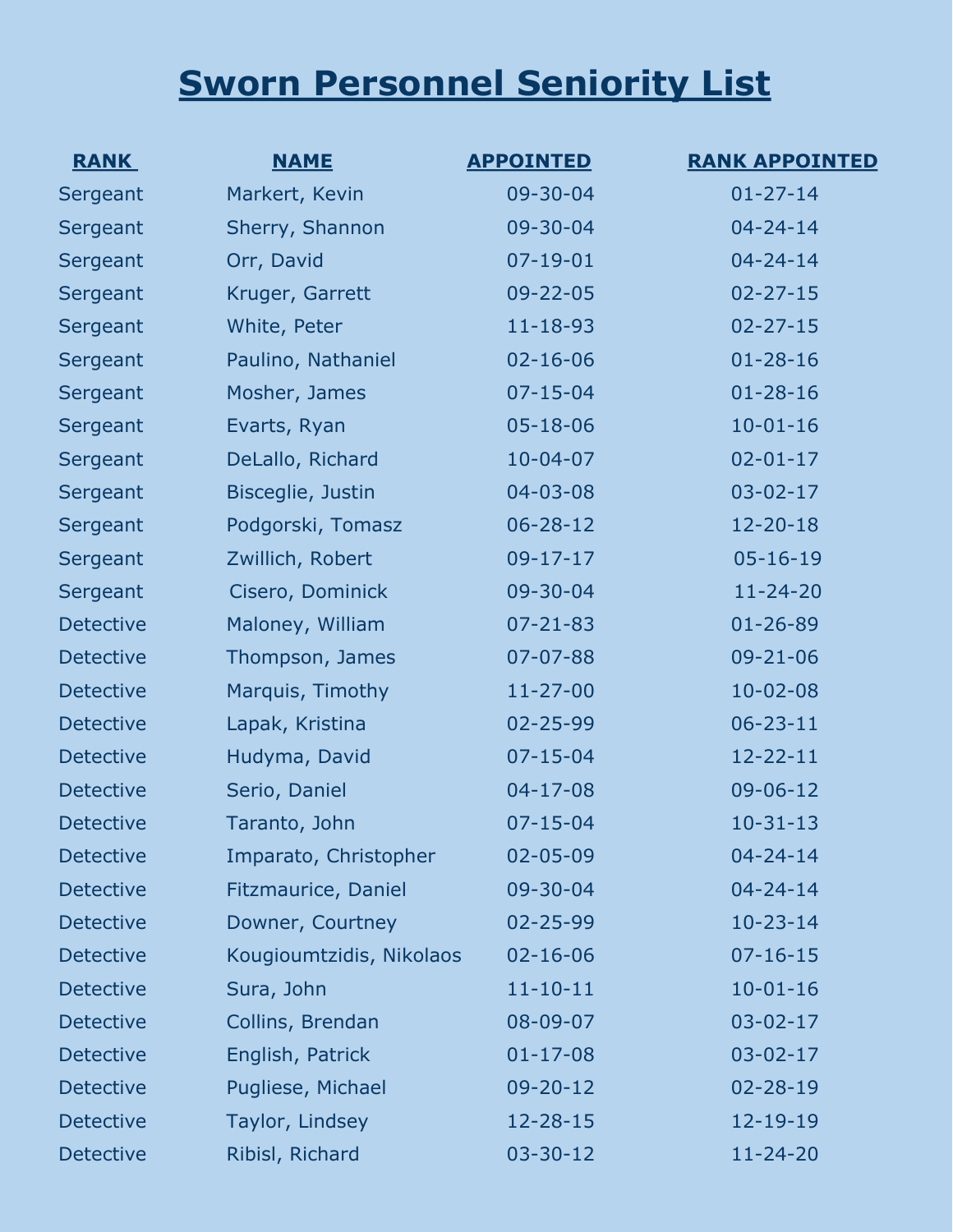# **Sworn Personnel Seniority List**

| <b>RANK</b>      | <b>NAME</b>              | <b>APPOINTED</b> | <b>RANK APPOINTED</b> |
|------------------|--------------------------|------------------|-----------------------|
| Sergeant         | Markert, Kevin           | 09-30-04         | $01 - 27 - 14$        |
| Sergeant         | Sherry, Shannon          | 09-30-04         | $04 - 24 - 14$        |
| Sergeant         | Orr, David               | $07 - 19 - 01$   | $04 - 24 - 14$        |
| Sergeant         | Kruger, Garrett          | $09 - 22 - 05$   | $02 - 27 - 15$        |
| Sergeant         | White, Peter             | $11 - 18 - 93$   | $02 - 27 - 15$        |
| Sergeant         | Paulino, Nathaniel       | $02 - 16 - 06$   | $01 - 28 - 16$        |
| Sergeant         | Mosher, James            | $07 - 15 - 04$   | $01 - 28 - 16$        |
| Sergeant         | Evarts, Ryan             | $05 - 18 - 06$   | $10 - 01 - 16$        |
| Sergeant         | DeLallo, Richard         | $10 - 04 - 07$   | $02 - 01 - 17$        |
| Sergeant         | Bisceglie, Justin        | $04 - 03 - 08$   | $03 - 02 - 17$        |
| Sergeant         | Podgorski, Tomasz        | $06 - 28 - 12$   | $12 - 20 - 18$        |
| Sergeant         | Zwillich, Robert         | $09 - 17 - 17$   | $05 - 16 - 19$        |
| Sergeant         | Cisero, Dominick         | 09-30-04         | $11 - 24 - 20$        |
| <b>Detective</b> | Maloney, William         | $07 - 21 - 83$   | $01 - 26 - 89$        |
| <b>Detective</b> | Thompson, James          | $07 - 07 - 88$   | $09 - 21 - 06$        |
| <b>Detective</b> | Marquis, Timothy         | $11 - 27 - 00$   | $10 - 02 - 08$        |
| <b>Detective</b> | Lapak, Kristina          | 02-25-99         | $06 - 23 - 11$        |
| <b>Detective</b> | Hudyma, David            | $07 - 15 - 04$   | $12 - 22 - 11$        |
| <b>Detective</b> | Serio, Daniel            | $04 - 17 - 08$   | $09 - 06 - 12$        |
| <b>Detective</b> | Taranto, John            | $07 - 15 - 04$   | $10-31-13$            |
| <b>Detective</b> | Imparato, Christopher    | $02 - 05 - 09$   | $04 - 24 - 14$        |
| <b>Detective</b> | Fitzmaurice, Daniel      | 09-30-04         | $04 - 24 - 14$        |
| <b>Detective</b> | Downer, Courtney         | $02 - 25 - 99$   | $10 - 23 - 14$        |
| <b>Detective</b> | Kougioumtzidis, Nikolaos | $02 - 16 - 06$   | $07 - 16 - 15$        |
| <b>Detective</b> | Sura, John               | $11 - 10 - 11$   | $10 - 01 - 16$        |
| <b>Detective</b> | Collins, Brendan         | $08 - 09 - 07$   | $03 - 02 - 17$        |
| <b>Detective</b> | English, Patrick         | $01 - 17 - 08$   | $03 - 02 - 17$        |
| <b>Detective</b> | Pugliese, Michael        | $09 - 20 - 12$   | $02 - 28 - 19$        |
| <b>Detective</b> | Taylor, Lindsey          | $12 - 28 - 15$   | $12 - 19 - 19$        |
| <b>Detective</b> | Ribisl, Richard          | $03 - 30 - 12$   | $11 - 24 - 20$        |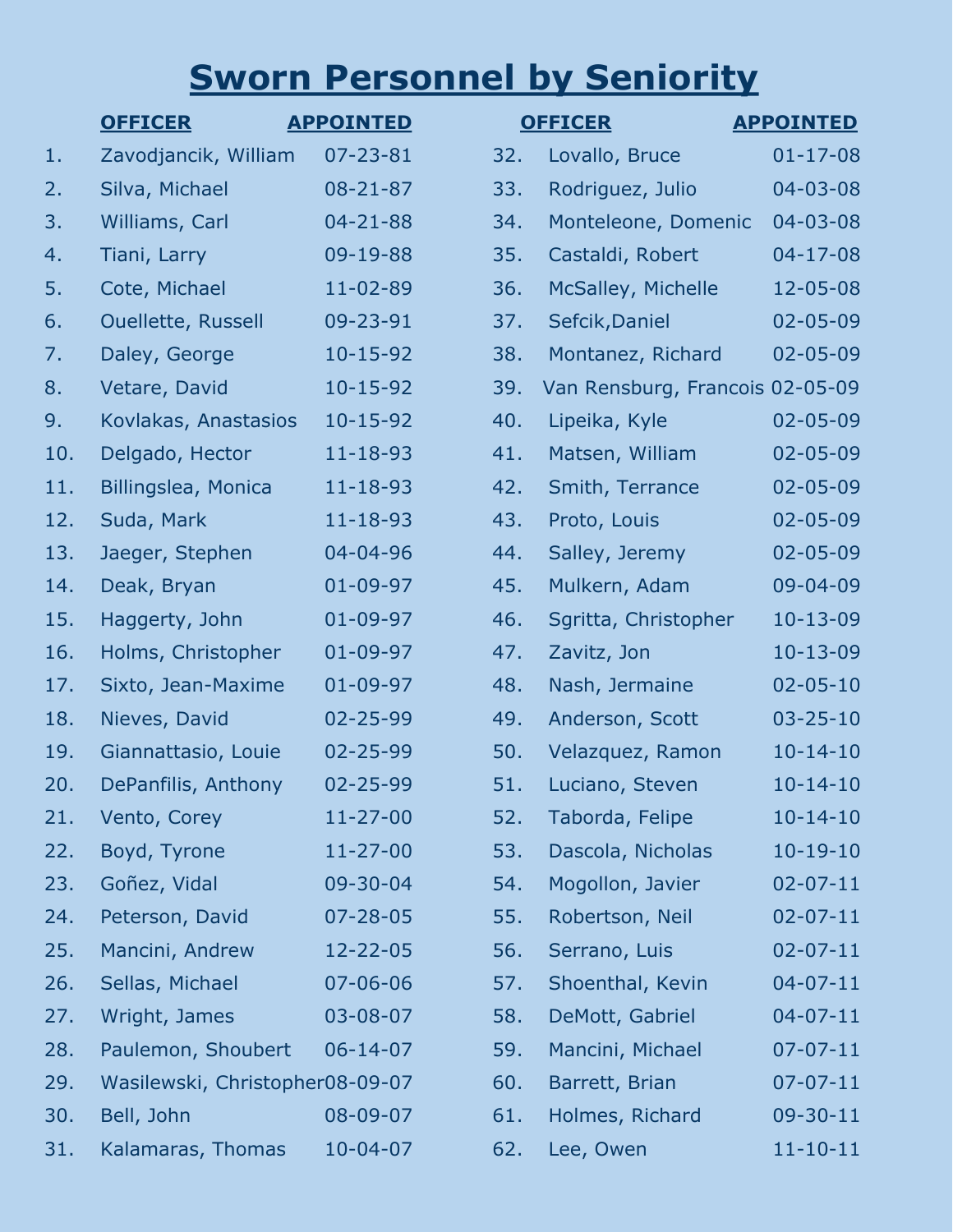# **Sworn Personnel by Seniority**

|     | <b>OFFICER</b>                  | <b>APPOINTED</b> |     | <b>OFFICER</b>                  | <b>APPOINTED</b> |
|-----|---------------------------------|------------------|-----|---------------------------------|------------------|
| 1.  | Zavodjancik, William            | $07 - 23 - 81$   | 32. | Lovallo, Bruce                  | $01 - 17 - 08$   |
| 2.  | Silva, Michael                  | $08 - 21 - 87$   | 33. | Rodriguez, Julio                | 04-03-08         |
| 3.  | Williams, Carl                  | $04 - 21 - 88$   | 34. | Monteleone, Domenic             | 04-03-08         |
| 4.  | Tiani, Larry                    | 09-19-88         | 35. | Castaldi, Robert                | $04 - 17 - 08$   |
| 5.  | Cote, Michael                   | 11-02-89         | 36. | McSalley, Michelle              | 12-05-08         |
| 6.  | <b>Ouellette, Russell</b>       | 09-23-91         | 37. | Sefcik, Daniel                  | 02-05-09         |
| 7.  | Daley, George                   | $10 - 15 - 92$   | 38. | Montanez, Richard               | 02-05-09         |
| 8.  | Vetare, David                   | $10 - 15 - 92$   | 39. | Van Rensburg, Francois 02-05-09 |                  |
| 9.  | Kovlakas, Anastasios            | $10 - 15 - 92$   | 40. | Lipeika, Kyle                   | 02-05-09         |
| 10. | Delgado, Hector                 | $11 - 18 - 93$   | 41. | Matsen, William                 | 02-05-09         |
| 11. | Billingslea, Monica             | $11 - 18 - 93$   | 42. | Smith, Terrance                 | 02-05-09         |
| 12. | Suda, Mark                      | $11 - 18 - 93$   | 43. | Proto, Louis                    | 02-05-09         |
| 13. | Jaeger, Stephen                 | 04-04-96         | 44. | Salley, Jeremy                  | 02-05-09         |
| 14. | Deak, Bryan                     | $01 - 09 - 97$   | 45. | Mulkern, Adam                   | 09-04-09         |
| 15. | Haggerty, John                  | $01 - 09 - 97$   | 46. | Sgritta, Christopher            | $10 - 13 - 09$   |
| 16. | Holms, Christopher              | $01 - 09 - 97$   | 47. | Zavitz, Jon                     | $10 - 13 - 09$   |
| 17. | Sixto, Jean-Maxime              | $01 - 09 - 97$   | 48. | Nash, Jermaine                  | $02 - 05 - 10$   |
| 18. | Nieves, David                   | 02-25-99         | 49. | Anderson, Scott                 | $03 - 25 - 10$   |
| 19. | Giannattasio, Louie             | 02-25-99         | 50. | Velazquez, Ramon                | $10 - 14 - 10$   |
| 20. | DePanfilis, Anthony             | 02-25-99         | 51. | Luciano, Steven                 | $10 - 14 - 10$   |
| 21. | Vento, Corey                    | $11 - 27 - 00$   | 52. | Taborda, Felipe                 | $10 - 14 - 10$   |
| 22. | Boyd, Tyrone                    | $11 - 27 - 00$   | 53. | Dascola, Nicholas               | $10 - 19 - 10$   |
| 23. | Goñez, Vidal                    | 09-30-04         | 54. | Mogollon, Javier                | $02 - 07 - 11$   |
| 24. | Peterson, David                 | $07 - 28 - 05$   | 55. | Robertson, Neil                 | $02 - 07 - 11$   |
| 25. | Mancini, Andrew                 | 12-22-05         | 56. | Serrano, Luis                   | $02 - 07 - 11$   |
| 26. | Sellas, Michael                 | $07 - 06 - 06$   | 57. | Shoenthal, Kevin                | $04 - 07 - 11$   |
| 27. | Wright, James                   | 03-08-07         | 58. | DeMott, Gabriel                 | $04 - 07 - 11$   |
| 28. | Paulemon, Shoubert              | $06 - 14 - 07$   | 59. | Mancini, Michael                | $07 - 07 - 11$   |
| 29. | Wasilewski, Christopher08-09-07 |                  | 60. | Barrett, Brian                  | $07 - 07 - 11$   |
| 30. | Bell, John                      | $08 - 09 - 07$   | 61. | Holmes, Richard                 | $09 - 30 - 11$   |
| 31. | Kalamaras, Thomas               | $10 - 04 - 07$   | 62. | Lee, Owen                       | $11 - 10 - 11$   |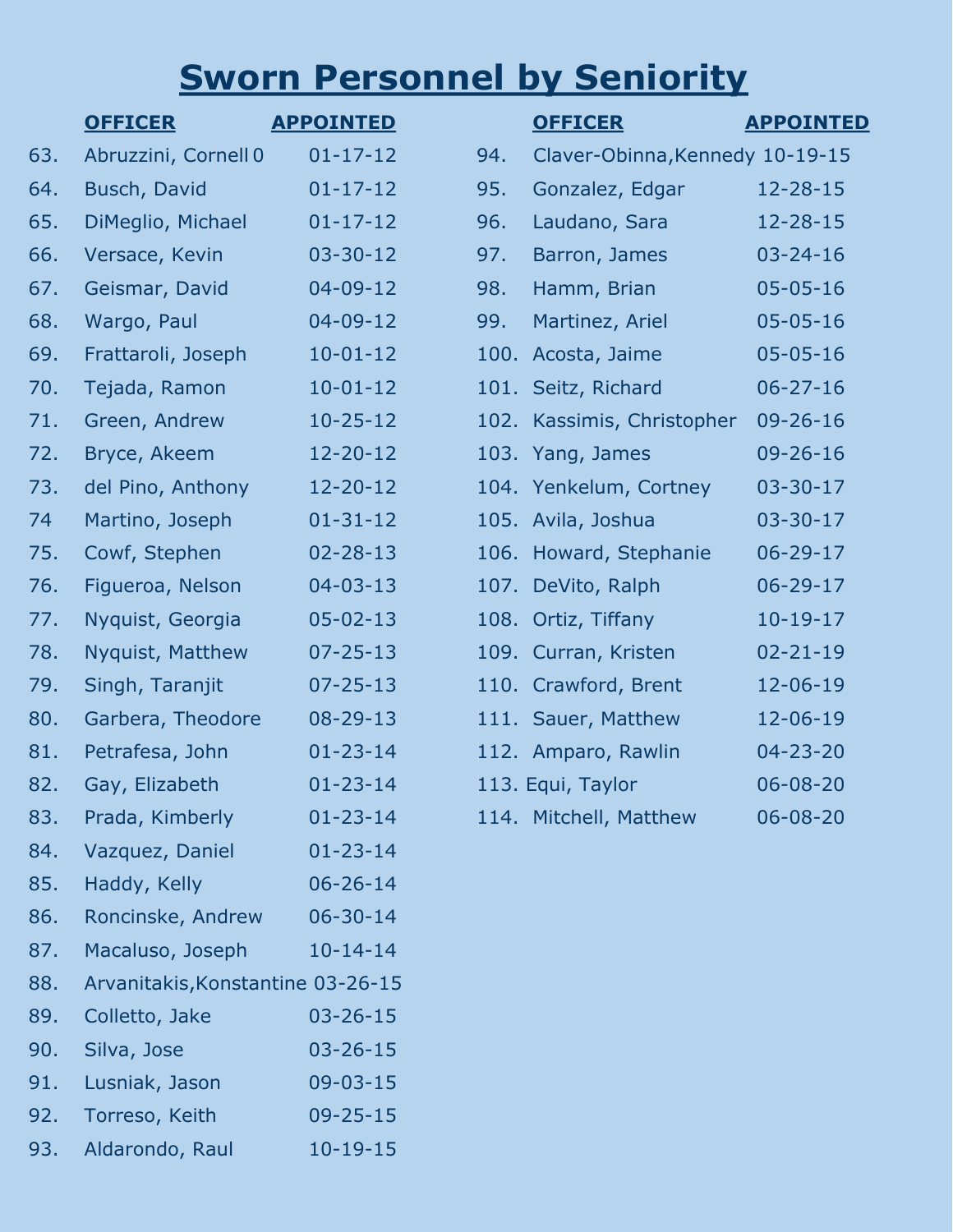# **Sworn Personnel by Seniority**

|     | <b>OFFICER</b>                    | <b>APPOINTED</b> |      | <b>OFFICER</b>                  | <b>APPOINTED</b> |
|-----|-----------------------------------|------------------|------|---------------------------------|------------------|
|     |                                   |                  |      |                                 |                  |
| 63. | Abruzzini, Cornell 0              | $01 - 17 - 12$   | 94.  | Claver-Obinna, Kennedy 10-19-15 |                  |
| 64. | Busch, David                      | $01 - 17 - 12$   | 95.  | Gonzalez, Edgar                 | $12 - 28 - 15$   |
| 65. | DiMeglio, Michael                 | $01 - 17 - 12$   | 96.  | Laudano, Sara                   | $12 - 28 - 15$   |
| 66. | Versace, Kevin                    | $03 - 30 - 12$   | 97.  | Barron, James                   | $03 - 24 - 16$   |
| 67. | Geismar, David                    | $04 - 09 - 12$   | 98.  | Hamm, Brian                     | $05 - 05 - 16$   |
| 68. | Wargo, Paul                       | $04 - 09 - 12$   | 99.  | Martinez, Ariel                 | $05 - 05 - 16$   |
| 69. | Frattaroli, Joseph                | $10 - 01 - 12$   | 100. | Acosta, Jaime                   | $05 - 05 - 16$   |
| 70. | Tejada, Ramon                     | $10 - 01 - 12$   |      | 101. Seitz, Richard             | $06 - 27 - 16$   |
| 71. | Green, Andrew                     | $10 - 25 - 12$   |      | 102. Kassimis, Christopher      | $09 - 26 - 16$   |
| 72. | Bryce, Akeem                      | $12 - 20 - 12$   |      | 103. Yang, James                | $09 - 26 - 16$   |
| 73. | del Pino, Anthony                 | $12 - 20 - 12$   |      | 104. Yenkelum, Cortney          | $03 - 30 - 17$   |
| 74  | Martino, Joseph                   | $01 - 31 - 12$   |      | 105. Avila, Joshua              | $03 - 30 - 17$   |
| 75. | Cowf, Stephen                     | $02 - 28 - 13$   |      | 106. Howard, Stephanie          | $06 - 29 - 17$   |
| 76. | Figueroa, Nelson                  | $04 - 03 - 13$   |      | 107. DeVito, Ralph              | $06 - 29 - 17$   |
| 77. | Nyquist, Georgia                  | $05 - 02 - 13$   |      | 108. Ortiz, Tiffany             | $10-19-17$       |
| 78. | Nyquist, Matthew                  | $07 - 25 - 13$   |      | 109. Curran, Kristen            | $02 - 21 - 19$   |
| 79. | Singh, Taranjit                   | $07 - 25 - 13$   |      | 110. Crawford, Brent            | 12-06-19         |
| 80. | Garbera, Theodore                 | $08 - 29 - 13$   |      | 111. Sauer, Matthew             | 12-06-19         |
| 81. | Petrafesa, John                   | $01 - 23 - 14$   |      | 112. Amparo, Rawlin             | $04 - 23 - 20$   |
| 82. | Gay, Elizabeth                    | $01 - 23 - 14$   |      | 113. Equi, Taylor               | $06 - 08 - 20$   |
| 83. | Prada, Kimberly                   | $01 - 23 - 14$   |      | 114. Mitchell, Matthew          | $06 - 08 - 20$   |
| 84. | Vazquez, Daniel                   | $01 - 23 - 14$   |      |                                 |                  |
| 85. | Haddy, Kelly                      | $06 - 26 - 14$   |      |                                 |                  |
| 86. | Roncinske, Andrew                 | $06 - 30 - 14$   |      |                                 |                  |
| 87. | Macaluso, Joseph                  | $10 - 14 - 14$   |      |                                 |                  |
| 88. | Arvanitakis, Konstantine 03-26-15 |                  |      |                                 |                  |
| 89. | Colletto, Jake                    | $03 - 26 - 15$   |      |                                 |                  |
| 90. | Silva, Jose                       | $03 - 26 - 15$   |      |                                 |                  |
| 91. | Lusniak, Jason                    | $09 - 03 - 15$   |      |                                 |                  |
| 92. | Torreso, Keith                    | $09 - 25 - 15$   |      |                                 |                  |
| 93. | Aldarondo, Raul                   | $10-19-15$       |      |                                 |                  |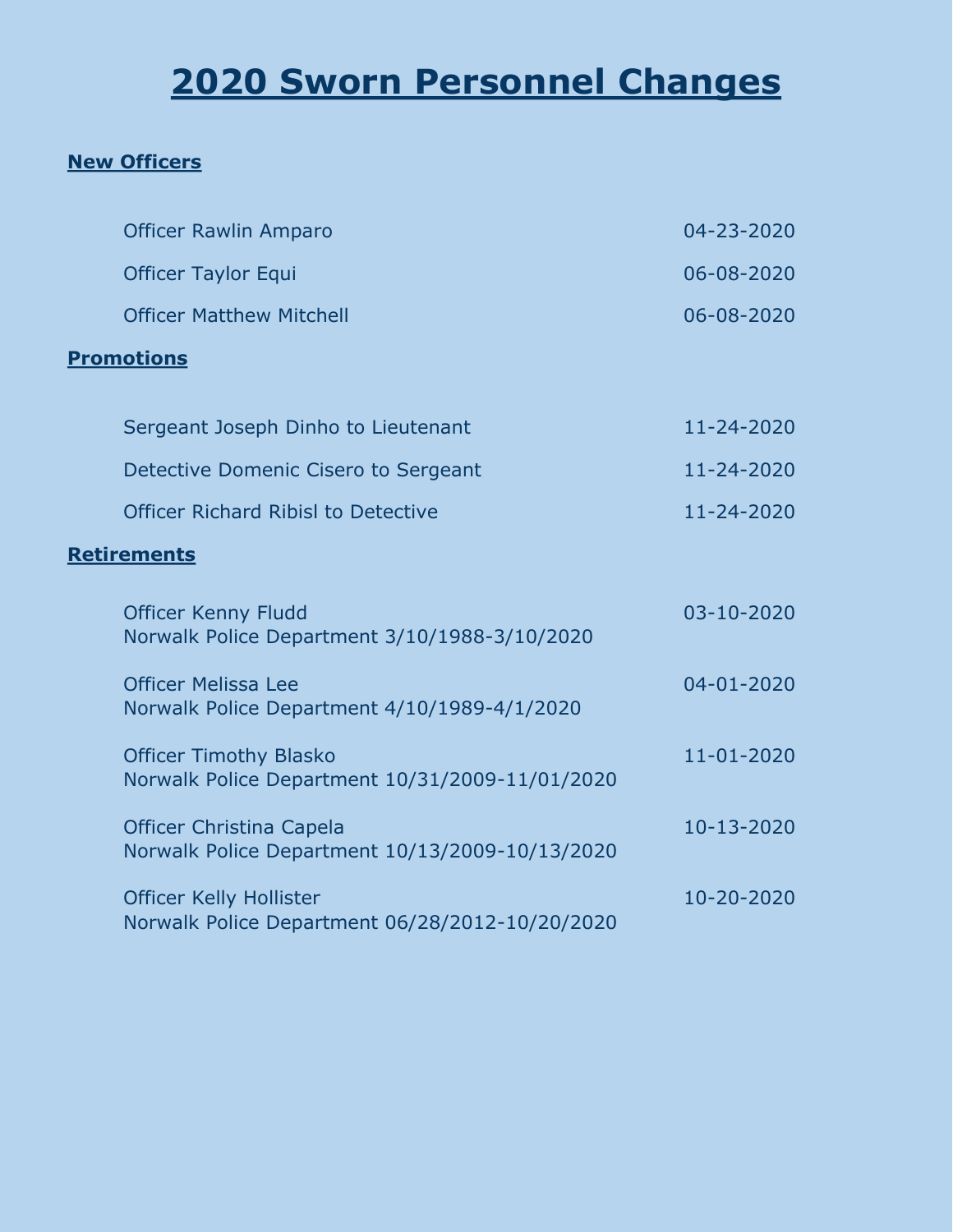# **2020 Sworn Personnel Changes**

### **New Officers**

| <b>Officer Rawlin Amparo</b>                                                       | 04-23-2020       |
|------------------------------------------------------------------------------------|------------------|
| <b>Officer Taylor Equi</b>                                                         | 06-08-2020       |
| <b>Officer Matthew Mitchell</b>                                                    | 06-08-2020       |
| <b>Promotions</b>                                                                  |                  |
| Sergeant Joseph Dinho to Lieutenant                                                | 11-24-2020       |
| Detective Domenic Cisero to Sergeant                                               | 11-24-2020       |
| <b>Officer Richard Ribisl to Detective</b>                                         | 11-24-2020       |
| <b>Retirements</b>                                                                 |                  |
| <b>Officer Kenny Fludd</b><br>Norwalk Police Department 3/10/1988-3/10/2020        | 03-10-2020       |
| <b>Officer Melissa Lee</b><br>Norwalk Police Department 4/10/1989-4/1/2020         | $04 - 01 - 2020$ |
| <b>Officer Timothy Blasko</b><br>Norwalk Police Department 10/31/2009-11/01/2020   | 11-01-2020       |
| <b>Officer Christina Capela</b><br>Norwalk Police Department 10/13/2009-10/13/2020 | 10-13-2020       |
| <b>Officer Kelly Hollister</b><br>Norwalk Police Department 06/28/2012-10/20/2020  | 10-20-2020       |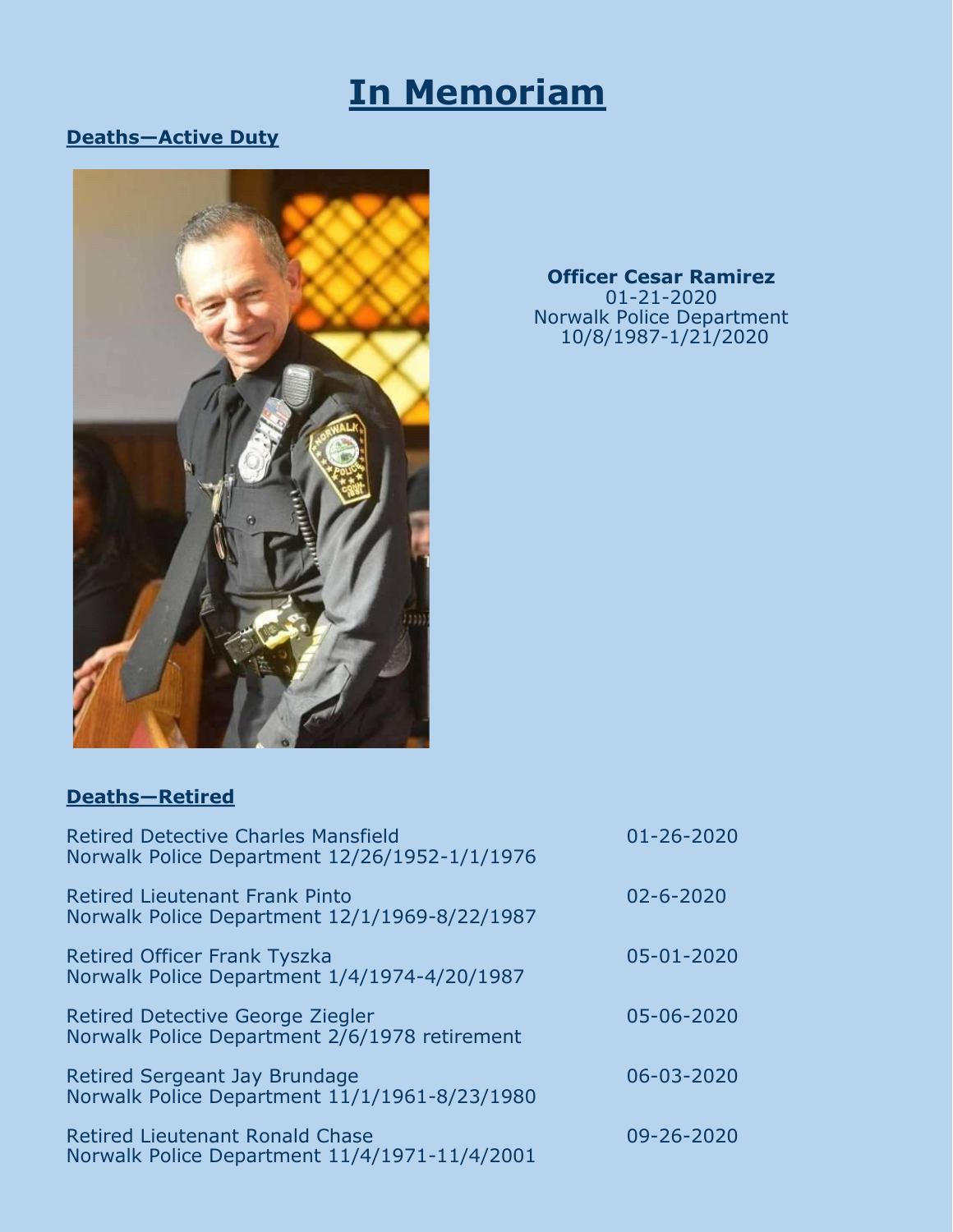### **In Memoriam**

#### **Deaths—Active Duty**



**Officer Cesar Ramirez** 01-21-2020 Norwalk Police Department 10/8/1987-1/21/2020

#### **Deaths—Retired**

| <b>Retired Detective Charles Mansfield</b><br>Norwalk Police Department 12/26/1952-1/1/1976 | $01 - 26 - 2020$ |
|---------------------------------------------------------------------------------------------|------------------|
| <b>Retired Lieutenant Frank Pinto</b><br>Norwalk Police Department 12/1/1969-8/22/1987      | $02 - 6 - 2020$  |
| <b>Retired Officer Frank Tyszka</b><br>Norwalk Police Department 1/4/1974-4/20/1987         | 05-01-2020       |
| <b>Retired Detective George Ziegler</b><br>Norwalk Police Department 2/6/1978 retirement    | 05-06-2020       |
| Retired Sergeant Jay Brundage<br>Norwalk Police Department 11/1/1961-8/23/1980              | 06-03-2020       |
| <b>Retired Lieutenant Ronald Chase</b><br>Norwalk Police Department 11/4/1971-11/4/2001     | 09-26-2020       |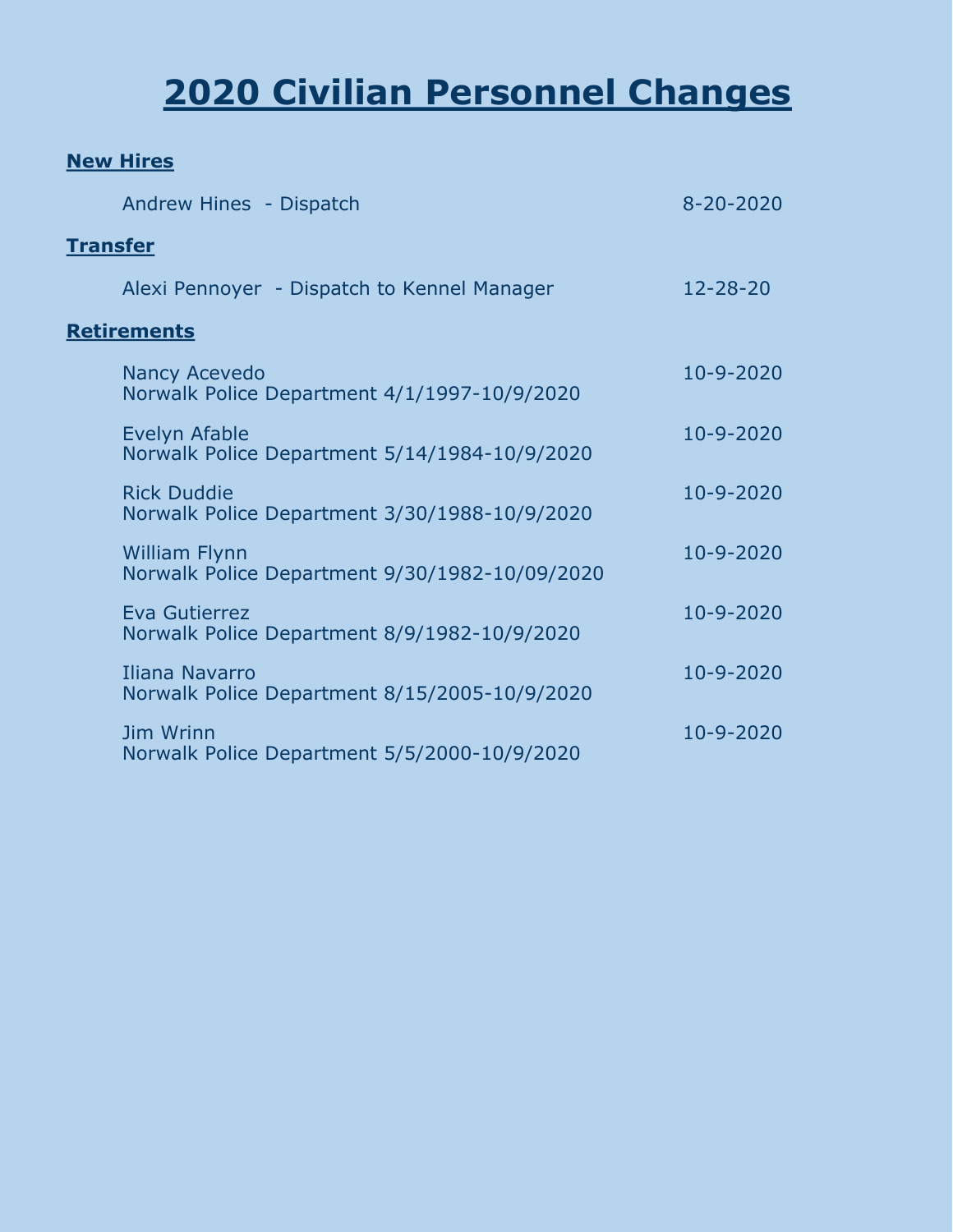# **2020 Civilian Personnel Changes**

#### **New Hires**

|                 | Andrew Hines - Dispatch                                                | $8 - 20 - 2020$ |
|-----------------|------------------------------------------------------------------------|-----------------|
| <b>Transfer</b> |                                                                        |                 |
|                 | Alexi Pennoyer - Dispatch to Kennel Manager                            | $12 - 28 - 20$  |
|                 | <b>Retirements</b>                                                     |                 |
|                 | <b>Nancy Acevedo</b><br>Norwalk Police Department 4/1/1997-10/9/2020   | 10-9-2020       |
|                 | Evelyn Afable<br>Norwalk Police Department 5/14/1984-10/9/2020         | 10-9-2020       |
|                 | <b>Rick Duddie</b><br>Norwalk Police Department 3/30/1988-10/9/2020    | 10-9-2020       |
|                 | <b>William Flynn</b><br>Norwalk Police Department 9/30/1982-10/09/2020 | 10-9-2020       |
|                 | Eva Gutierrez<br>Norwalk Police Department 8/9/1982-10/9/2020          | 10-9-2020       |
|                 | Iliana Navarro<br>Norwalk Police Department 8/15/2005-10/9/2020        | 10-9-2020       |
|                 | Jim Wrinn<br>Norwalk Police Department 5/5/2000-10/9/2020              | 10-9-2020       |
|                 |                                                                        |                 |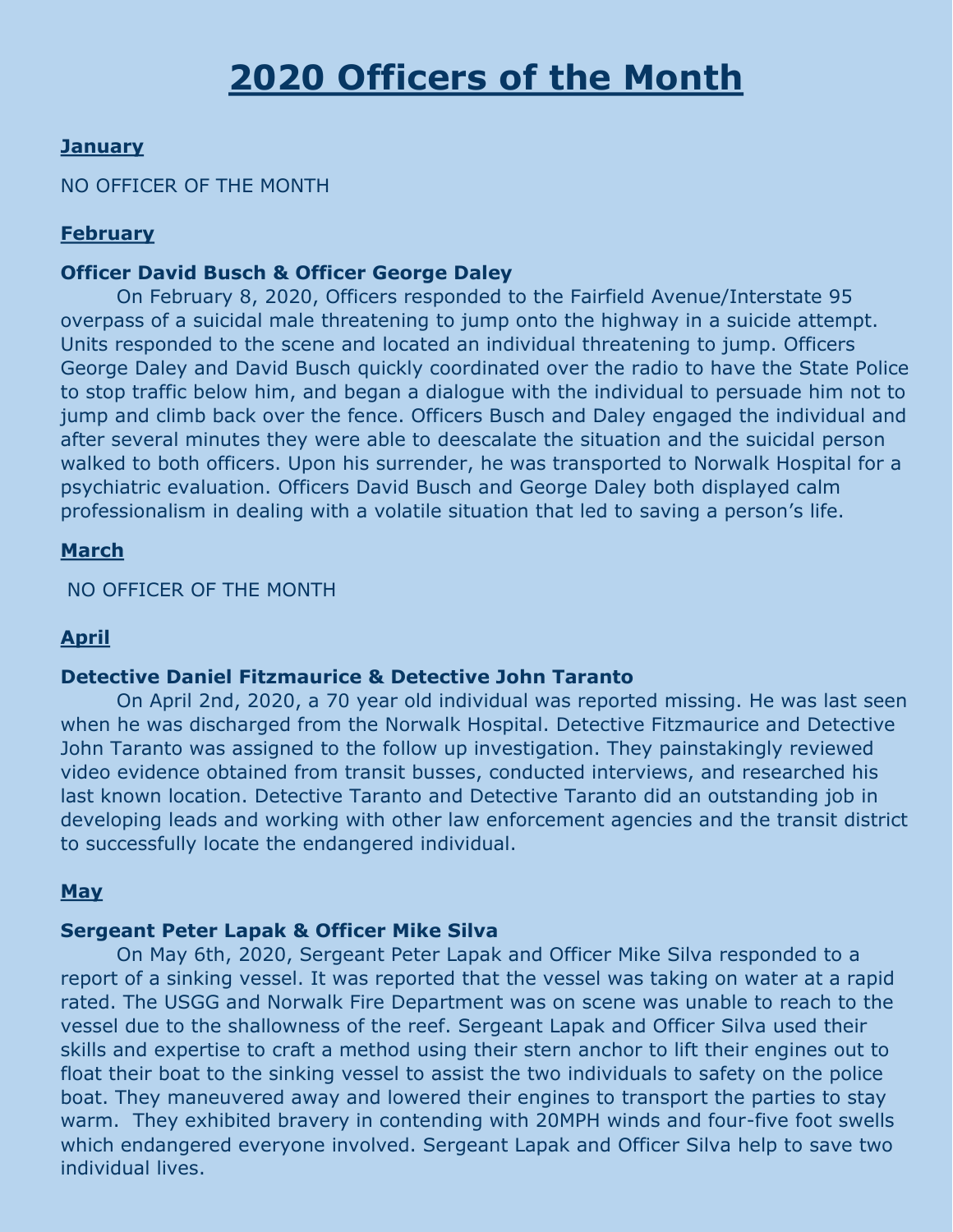#### **January**

#### NO OFFICER OF THE MONTH

#### **February**

#### **Officer David Busch & Officer George Daley**

On February 8, 2020, Officers responded to the Fairfield Avenue/Interstate 95 overpass of a suicidal male threatening to jump onto the highway in a suicide attempt. Units responded to the scene and located an individual threatening to jump. Officers George Daley and David Busch quickly coordinated over the radio to have the State Police to stop traffic below him, and began a dialogue with the individual to persuade him not to jump and climb back over the fence. Officers Busch and Daley engaged the individual and after several minutes they were able to deescalate the situation and the suicidal person walked to both officers. Upon his surrender, he was transported to Norwalk Hospital for a psychiatric evaluation. Officers David Busch and George Daley both displayed calm professionalism in dealing with a volatile situation that led to saving a person's life.

#### **March**

NO OFFICER OF THE MONTH

#### **April**

#### **Detective Daniel Fitzmaurice & Detective John Taranto**

On April 2nd, 2020, a 70 year old individual was reported missing. He was last seen when he was discharged from the Norwalk Hospital. Detective Fitzmaurice and Detective John Taranto was assigned to the follow up investigation. They painstakingly reviewed video evidence obtained from transit busses, conducted interviews, and researched his last known location. Detective Taranto and Detective Taranto did an outstanding job in developing leads and working with other law enforcement agencies and the transit district to successfully locate the endangered individual.

#### **May**

#### **Sergeant Peter Lapak & Officer Mike Silva**

On May 6th, 2020, Sergeant Peter Lapak and Officer Mike Silva responded to a report of a sinking vessel. It was reported that the vessel was taking on water at a rapid rated. The USGG and Norwalk Fire Department was on scene was unable to reach to the vessel due to the shallowness of the reef. Sergeant Lapak and Officer Silva used their skills and expertise to craft a method using their stern anchor to lift their engines out to float their boat to the sinking vessel to assist the two individuals to safety on the police boat. They maneuvered away and lowered their engines to transport the parties to stay warm. They exhibited bravery in contending with 20MPH winds and four-five foot swells which endangered everyone involved. Sergeant Lapak and Officer Silva help to save two individual lives.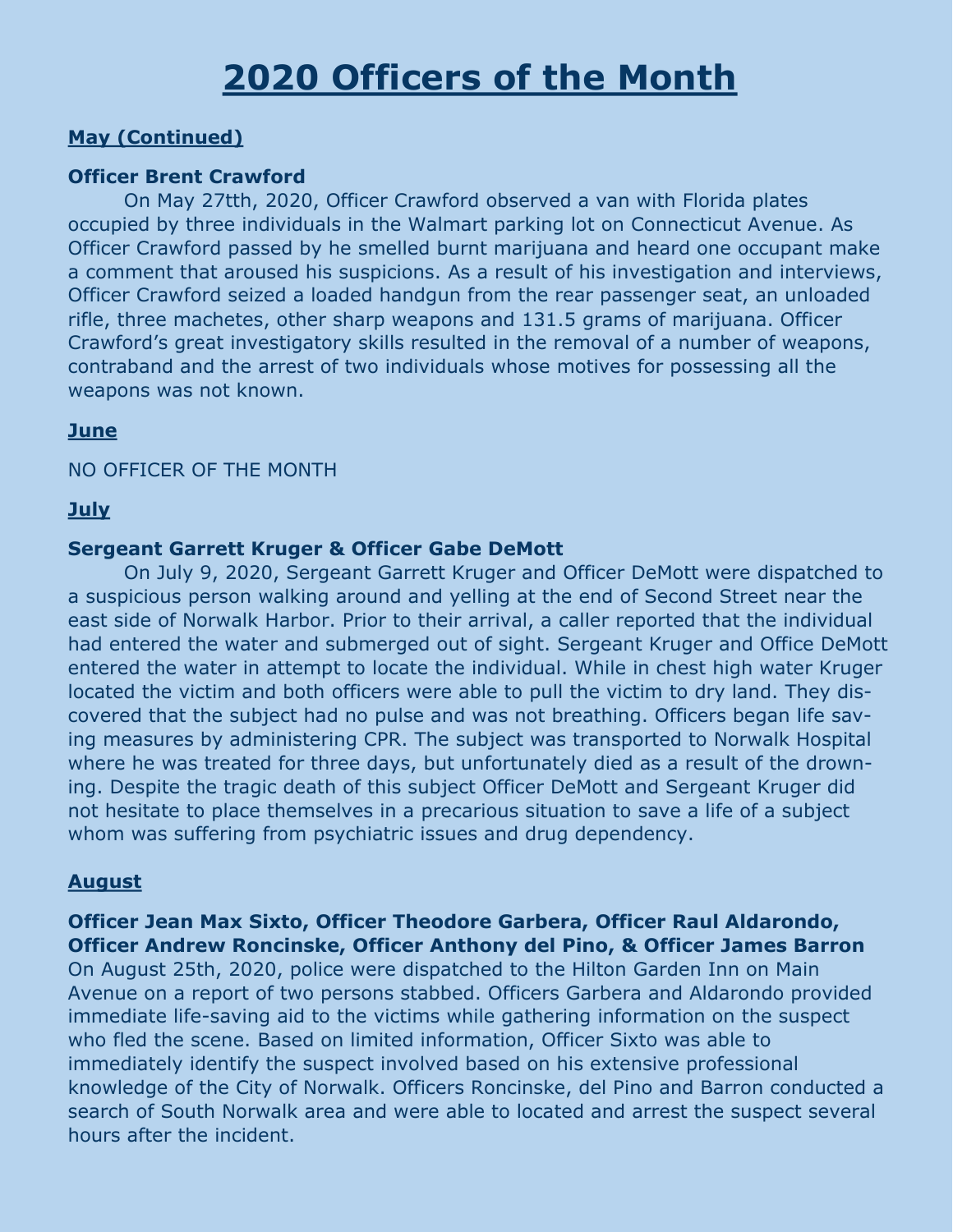### **2020 Officers of the Month**

#### **May (Continued)**

#### **Officer Brent Crawford**

On May 27tth, 2020, Officer Crawford observed a van with Florida plates occupied by three individuals in the Walmart parking lot on Connecticut Avenue. As Officer Crawford passed by he smelled burnt marijuana and heard one occupant make a comment that aroused his suspicions. As a result of his investigation and interviews, Officer Crawford seized a loaded handgun from the rear passenger seat, an unloaded rifle, three machetes, other sharp weapons and 131.5 grams of marijuana. Officer Crawford's great investigatory skills resulted in the removal of a number of weapons, contraband and the arrest of two individuals whose motives for possessing all the weapons was not known.

#### **June**

#### NO OFFICER OF THE MONTH

#### **July**

#### **Sergeant Garrett Kruger & Officer Gabe DeMott**

On July 9, 2020, Sergeant Garrett Kruger and Officer DeMott were dispatched to a suspicious person walking around and yelling at the end of Second Street near the east side of Norwalk Harbor. Prior to their arrival, a caller reported that the individual had entered the water and submerged out of sight. Sergeant Kruger and Office DeMott entered the water in attempt to locate the individual. While in chest high water Kruger located the victim and both officers were able to pull the victim to dry land. They discovered that the subject had no pulse and was not breathing. Officers began life saving measures by administering CPR. The subject was transported to Norwalk Hospital where he was treated for three days, but unfortunately died as a result of the drowning. Despite the tragic death of this subject Officer DeMott and Sergeant Kruger did not hesitate to place themselves in a precarious situation to save a life of a subject whom was suffering from psychiatric issues and drug dependency.

#### **August**

**Officer Jean Max Sixto, Officer Theodore Garbera, Officer Raul Aldarondo, Officer Andrew Roncinske, Officer Anthony del Pino, & Officer James Barron** On August 25th, 2020, police were dispatched to the Hilton Garden Inn on Main Avenue on a report of two persons stabbed. Officers Garbera and Aldarondo provided immediate life-saving aid to the victims while gathering information on the suspect who fled the scene. Based on limited information, Officer Sixto was able to immediately identify the suspect involved based on his extensive professional knowledge of the City of Norwalk. Officers Roncinske, del Pino and Barron conducted a search of South Norwalk area and were able to located and arrest the suspect several hours after the incident.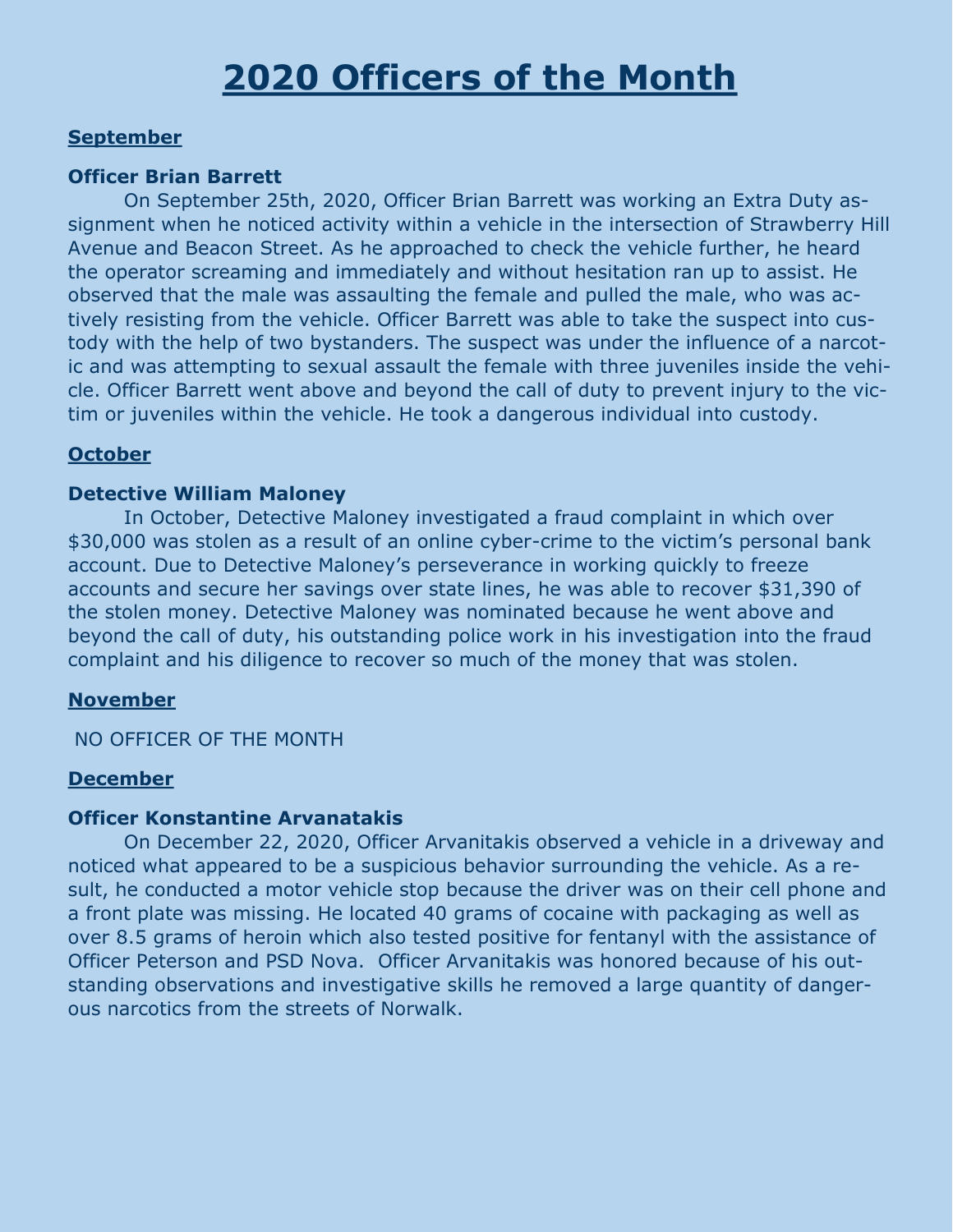### **2020 Officers of the Month**

#### **September**

#### **Officer Brian Barrett**

On September 25th, 2020, Officer Brian Barrett was working an Extra Duty assignment when he noticed activity within a vehicle in the intersection of Strawberry Hill Avenue and Beacon Street. As he approached to check the vehicle further, he heard the operator screaming and immediately and without hesitation ran up to assist. He observed that the male was assaulting the female and pulled the male, who was actively resisting from the vehicle. Officer Barrett was able to take the suspect into custody with the help of two bystanders. The suspect was under the influence of a narcotic and was attempting to sexual assault the female with three juveniles inside the vehicle. Officer Barrett went above and beyond the call of duty to prevent injury to the victim or juveniles within the vehicle. He took a dangerous individual into custody.

#### **October**

#### **Detective William Maloney**

In October, Detective Maloney investigated a fraud complaint in which over \$30,000 was stolen as a result of an online cyber-crime to the victim's personal bank account. Due to Detective Maloney's perseverance in working quickly to freeze accounts and secure her savings over state lines, he was able to recover \$31,390 of the stolen money. Detective Maloney was nominated because he went above and beyond the call of duty, his outstanding police work in his investigation into the fraud complaint and his diligence to recover so much of the money that was stolen.

#### **November**

NO OFFICER OF THE MONTH

#### **December**

#### **Officer Konstantine Arvanatakis**

On December 22, 2020, Officer Arvanitakis observed a vehicle in a driveway and noticed what appeared to be a suspicious behavior surrounding the vehicle. As a result, he conducted a motor vehicle stop because the driver was on their cell phone and a front plate was missing. He located 40 grams of cocaine with packaging as well as over 8.5 grams of heroin which also tested positive for fentanyl with the assistance of Officer Peterson and PSD Nova. Officer Arvanitakis was honored because of his outstanding observations and investigative skills he removed a large quantity of dangerous narcotics from the streets of Norwalk.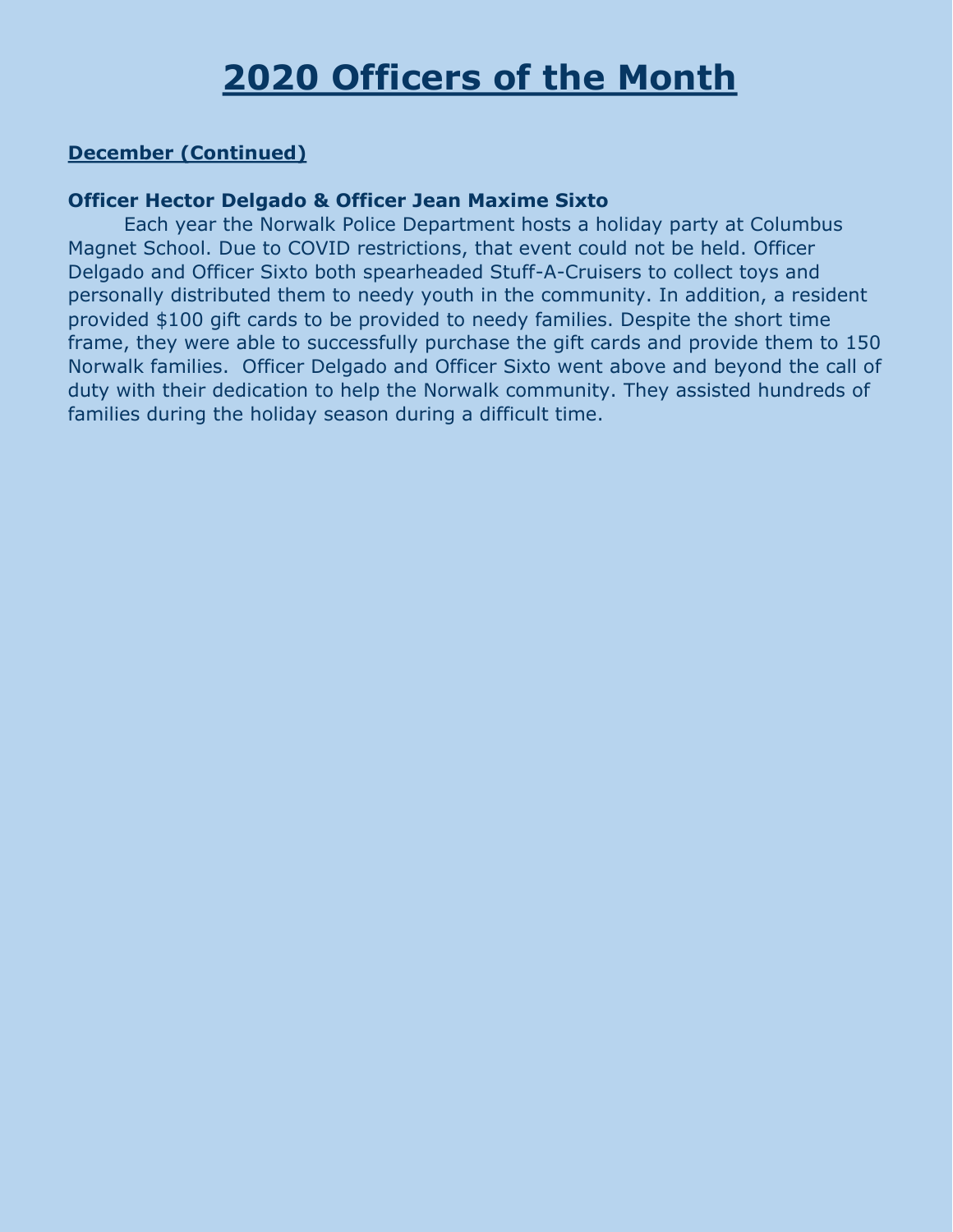### **2020 Officers of the Month**

#### **December (Continued)**

#### **Officer Hector Delgado & Officer Jean Maxime Sixto**

Each year the Norwalk Police Department hosts a holiday party at Columbus Magnet School. Due to COVID restrictions, that event could not be held. Officer Delgado and Officer Sixto both spearheaded Stuff-A-Cruisers to collect toys and personally distributed them to needy youth in the community. In addition, a resident provided \$100 gift cards to be provided to needy families. Despite the short time frame, they were able to successfully purchase the gift cards and provide them to 150 Norwalk families. Officer Delgado and Officer Sixto went above and beyond the call of duty with their dedication to help the Norwalk community. They assisted hundreds of families during the holiday season during a difficult time.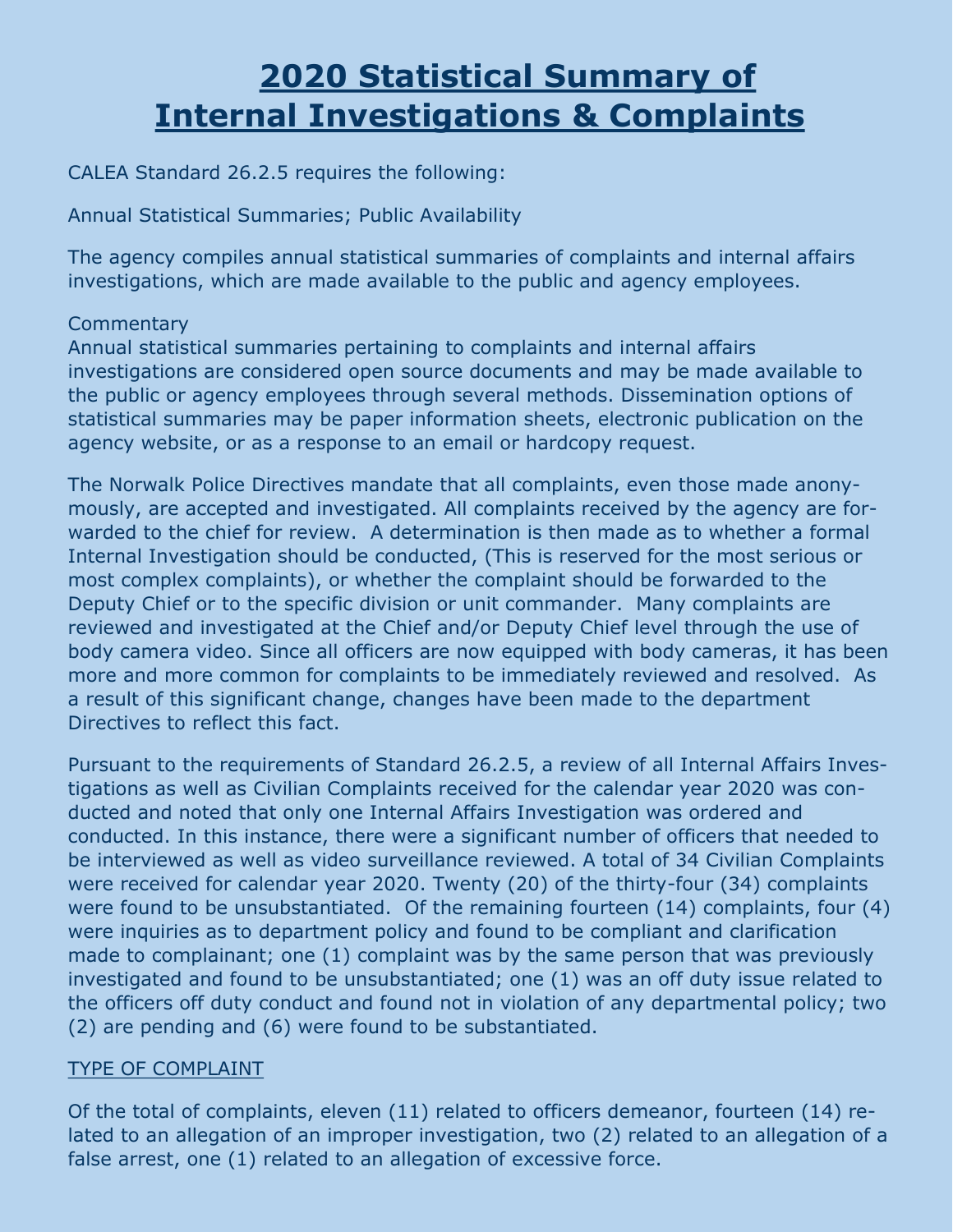### **2020 Statistical Summary of Internal Investigations & Complaints**

CALEA Standard 26.2.5 requires the following:

Annual Statistical Summaries; Public Availability

The agency compiles annual statistical summaries of complaints and internal affairs investigations, which are made available to the public and agency employees.

#### **Commentary**

Annual statistical summaries pertaining to complaints and internal affairs investigations are considered open source documents and may be made available to the public or agency employees through several methods. Dissemination options of statistical summaries may be paper information sheets, electronic publication on the agency website, or as a response to an email or hardcopy request.

The Norwalk Police Directives mandate that all complaints, even those made anonymously, are accepted and investigated. All complaints received by the agency are forwarded to the chief for review. A determination is then made as to whether a formal Internal Investigation should be conducted, (This is reserved for the most serious or most complex complaints), or whether the complaint should be forwarded to the Deputy Chief or to the specific division or unit commander. Many complaints are reviewed and investigated at the Chief and/or Deputy Chief level through the use of body camera video. Since all officers are now equipped with body cameras, it has been more and more common for complaints to be immediately reviewed and resolved. As a result of this significant change, changes have been made to the department Directives to reflect this fact.

Pursuant to the requirements of Standard 26.2.5, a review of all Internal Affairs Investigations as well as Civilian Complaints received for the calendar year 2020 was conducted and noted that only one Internal Affairs Investigation was ordered and conducted. In this instance, there were a significant number of officers that needed to be interviewed as well as video surveillance reviewed. A total of 34 Civilian Complaints were received for calendar year 2020. Twenty (20) of the thirty-four (34) complaints were found to be unsubstantiated. Of the remaining fourteen (14) complaints, four (4) were inquiries as to department policy and found to be compliant and clarification made to complainant; one (1) complaint was by the same person that was previously investigated and found to be unsubstantiated; one (1) was an off duty issue related to the officers off duty conduct and found not in violation of any departmental policy; two (2) are pending and (6) were found to be substantiated.

#### TYPE OF COMPLAINT

Of the total of complaints, eleven (11) related to officers demeanor, fourteen (14) related to an allegation of an improper investigation, two (2) related to an allegation of a false arrest, one (1) related to an allegation of excessive force.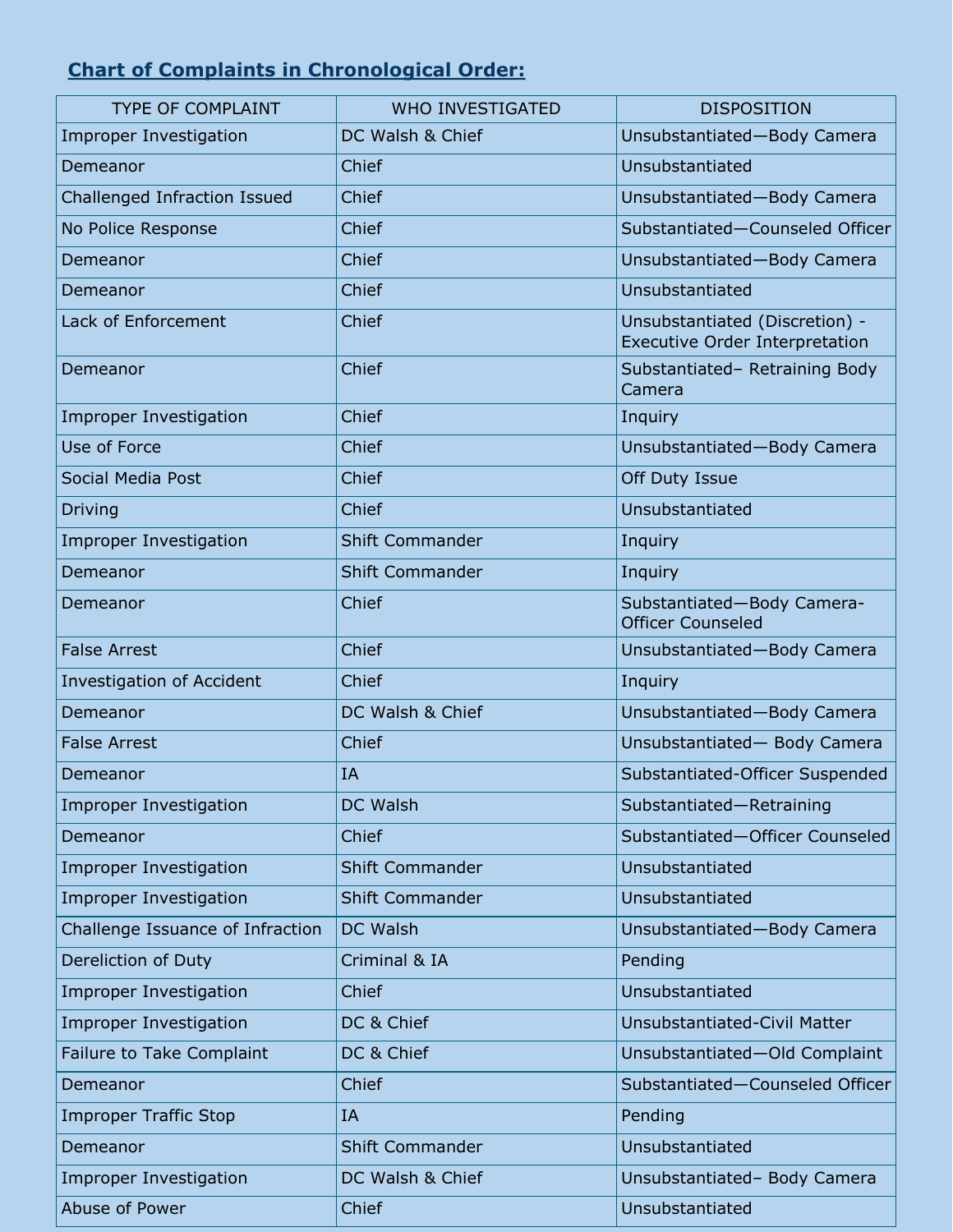### **Chart of Complaints in Chronological Order:**

| <b>TYPE OF COMPLAINT</b>         | <b>WHO INVESTIGATED</b> | <b>DISPOSITION</b>                                                      |
|----------------------------------|-------------------------|-------------------------------------------------------------------------|
| <b>Improper Investigation</b>    | DC Walsh & Chief        | Unsubstantiated-Body Camera                                             |
| Demeanor                         | Chief                   | Unsubstantiated                                                         |
| Challenged Infraction Issued     | Chief                   | Unsubstantiated-Body Camera                                             |
| No Police Response               | Chief                   | Substantiated-Counseled Officer                                         |
| Demeanor                         | Chief                   | Unsubstantiated-Body Camera                                             |
| Demeanor                         | Chief                   | Unsubstantiated                                                         |
| Lack of Enforcement              | Chief                   | Unsubstantiated (Discretion) -<br><b>Executive Order Interpretation</b> |
| Demeanor                         | Chief                   | Substantiated- Retraining Body<br>Camera                                |
| <b>Improper Investigation</b>    | Chief                   | Inquiry                                                                 |
| Use of Force                     | Chief                   | Unsubstantiated-Body Camera                                             |
| Social Media Post                | Chief                   | Off Duty Issue                                                          |
| <b>Driving</b>                   | Chief                   | Unsubstantiated                                                         |
| <b>Improper Investigation</b>    | <b>Shift Commander</b>  | Inquiry                                                                 |
| Demeanor                         | <b>Shift Commander</b>  | Inquiry                                                                 |
| Demeanor                         | Chief                   | Substantiated-Body Camera-<br><b>Officer Counseled</b>                  |
| <b>False Arrest</b>              | Chief                   | Unsubstantiated-Body Camera                                             |
| <b>Investigation of Accident</b> | Chief                   | Inquiry                                                                 |
| Demeanor                         | DC Walsh & Chief        | Unsubstantiated-Body Camera                                             |
| <b>False Arrest</b>              | Chief                   | Unsubstantiated- Body Camera                                            |
| Demeanor                         | IA                      | Substantiated-Officer Suspended                                         |
| <b>Improper Investigation</b>    | <b>DC Walsh</b>         | Substantiated-Retraining                                                |
| Demeanor                         | Chief                   | Substantiated-Officer Counseled                                         |
| <b>Improper Investigation</b>    | <b>Shift Commander</b>  | Unsubstantiated                                                         |
| <b>Improper Investigation</b>    | <b>Shift Commander</b>  | Unsubstantiated                                                         |
| Challenge Issuance of Infraction | <b>DC Walsh</b>         | Unsubstantiated-Body Camera                                             |
| Dereliction of Duty              | Criminal & IA           | Pending                                                                 |
| <b>Improper Investigation</b>    | Chief                   | Unsubstantiated                                                         |
| <b>Improper Investigation</b>    | DC & Chief              | Unsubstantiated-Civil Matter                                            |
| Failure to Take Complaint        | DC & Chief              | Unsubstantiated-Old Complaint                                           |
| Demeanor                         | Chief                   | Substantiated-Counseled Officer                                         |
| <b>Improper Traffic Stop</b>     | IA                      | Pending                                                                 |
| Demeanor                         | <b>Shift Commander</b>  | Unsubstantiated                                                         |
| Improper Investigation           | DC Walsh & Chief        | Unsubstantiated- Body Camera                                            |
| Abuse of Power                   | Chief                   | Unsubstantiated                                                         |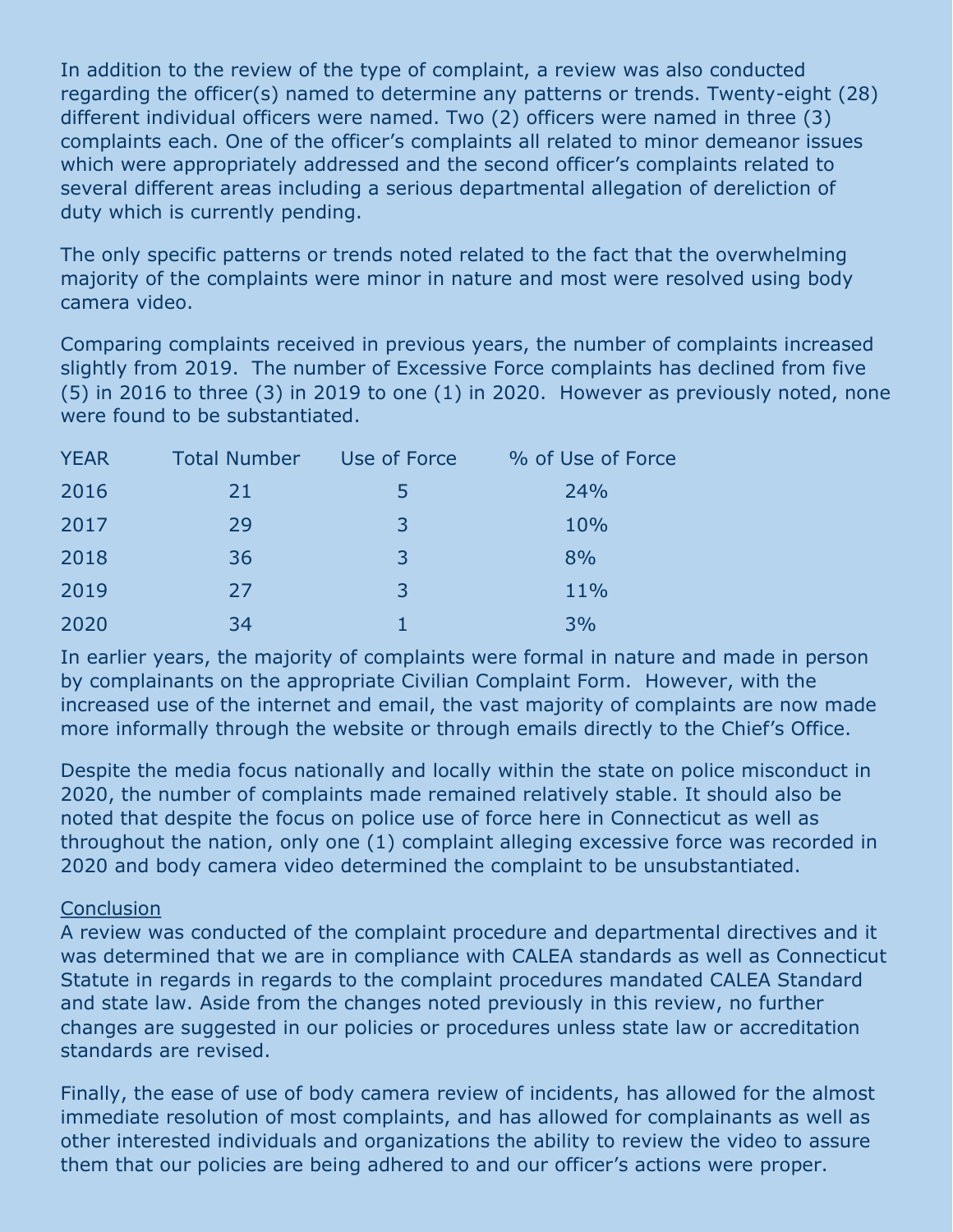In addition to the review of the type of complaint, a review was also conducted regarding the officer(s) named to determine any patterns or trends. Twenty-eight (28) different individual officers were named. Two (2) officers were named in three (3) complaints each. One of the officer's complaints all related to minor demeanor issues which were appropriately addressed and the second officer's complaints related to several different areas including a serious departmental allegation of dereliction of duty which is currently pending.

The only specific patterns or trends noted related to the fact that the overwhelming majority of the complaints were minor in nature and most were resolved using body camera video.

Comparing complaints received in previous years, the number of complaints increased slightly from 2019. The number of Excessive Force complaints has declined from five (5) in 2016 to three (3) in 2019 to one (1) in 2020. However as previously noted, none were found to be substantiated.

| <b>YEAR</b> | Total Number Use of Force |              | % of Use of Force |
|-------------|---------------------------|--------------|-------------------|
| 2016        | 21                        | $\mathbf{b}$ | 24%               |
| 2017        | 29                        | 3            | 10%               |
| 2018        | 36                        | 3            | 8%                |
| 2019        | 27                        | 3            | 11%               |
| 2020        | 34                        |              | 3%                |

In earlier years, the majority of complaints were formal in nature and made in person by complainants on the appropriate Civilian Complaint Form. However, with the increased use of the internet and email, the vast majority of complaints are now made more informally through the website or through emails directly to the Chief's Office.

Despite the media focus nationally and locally within the state on police misconduct in 2020, the number of complaints made remained relatively stable. It should also be noted that despite the focus on police use of force here in Connecticut as well as throughout the nation, only one (1) complaint alleging excessive force was recorded in 2020 and body camera video determined the complaint to be unsubstantiated.

#### **Conclusion**

A review was conducted of the complaint procedure and departmental directives and it was determined that we are in compliance with CALEA standards as well as Connecticut Statute in regards in regards to the complaint procedures mandated CALEA Standard and state law. Aside from the changes noted previously in this review, no further changes are suggested in our policies or procedures unless state law or accreditation standards are revised.

Finally, the ease of use of body camera review of incidents, has allowed for the almost immediate resolution of most complaints, and has allowed for complainants as well as other interested individuals and organizations the ability to review the video to assure them that our policies are being adhered to and our officer's actions were proper.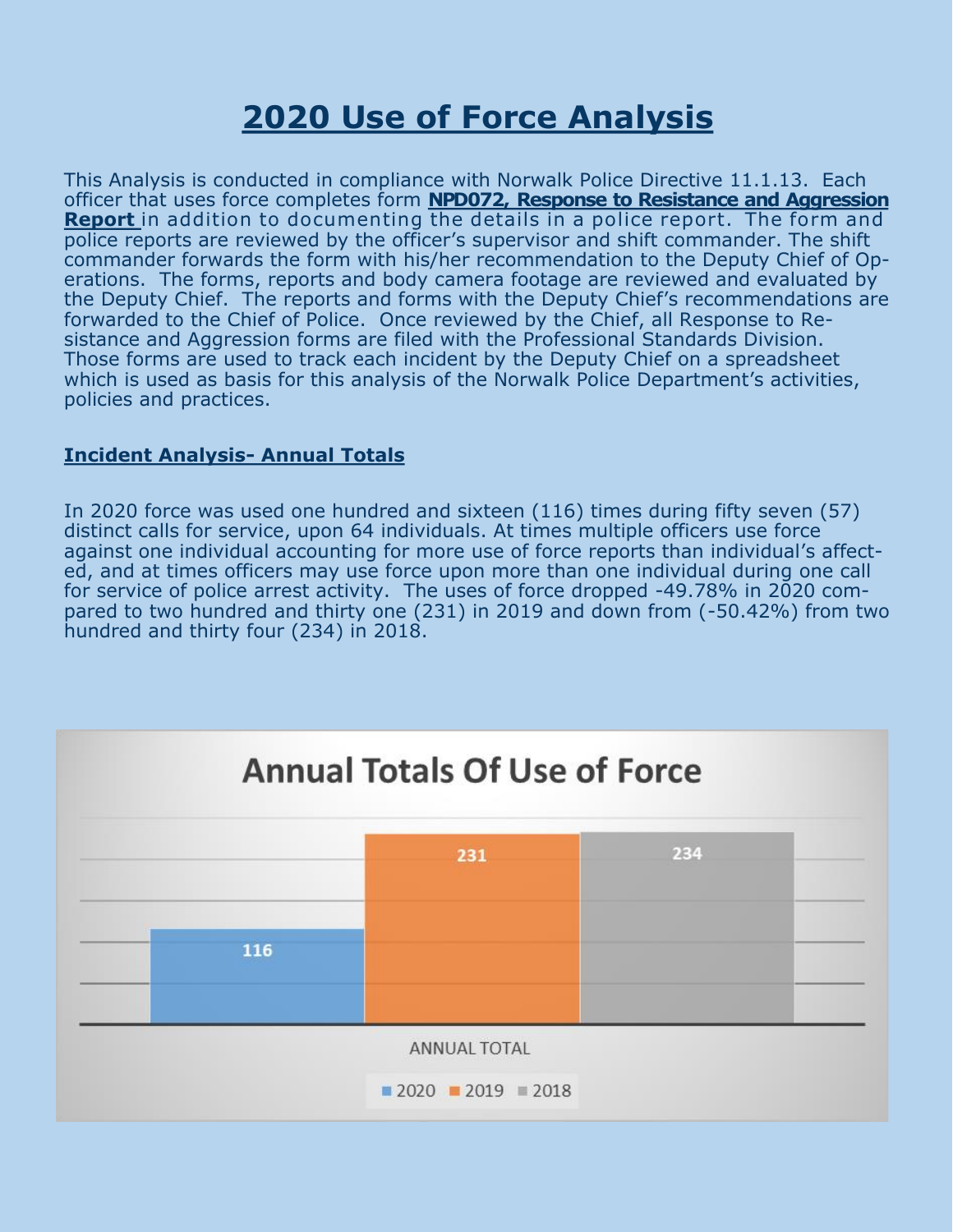### **2020 Use of Force Analysis**

This Analysis is conducted in compliance with Norwalk Police Directive 11.1.13. Each officer that uses force completes form **NPD072, Response to Resistance and Aggression Report** in addition to documenting the details in a police report. The form and police reports are reviewed by the officer's supervisor and shift commander. The shift commander forwards the form with his/her recommendation to the Deputy Chief of Operations. The forms, reports and body camera footage are reviewed and evaluated by the Deputy Chief. The reports and forms with the Deputy Chief's recommendations are forwarded to the Chief of Police. Once reviewed by the Chief, all Response to Resistance and Aggression forms are filed with the Professional Standards Division. Those forms are used to track each incident by the Deputy Chief on a spreadsheet which is used as basis for this analysis of the Norwalk Police Department's activities, policies and practices.

#### **Incident Analysis- Annual Totals**

In 2020 force was used one hundred and sixteen (116) times during fifty seven (57) distinct calls for service, upon 64 individuals. At times multiple officers use force against one individual accounting for more use of force reports than individual's affected, and at times officers may use force upon more than one individual during one call for service of police arrest activity. The uses of force dropped -49.78% in 2020 compared to two hundred and thirty one (231) in 2019 and down from (-50.42%) from two hundred and thirty four (234) in 2018.

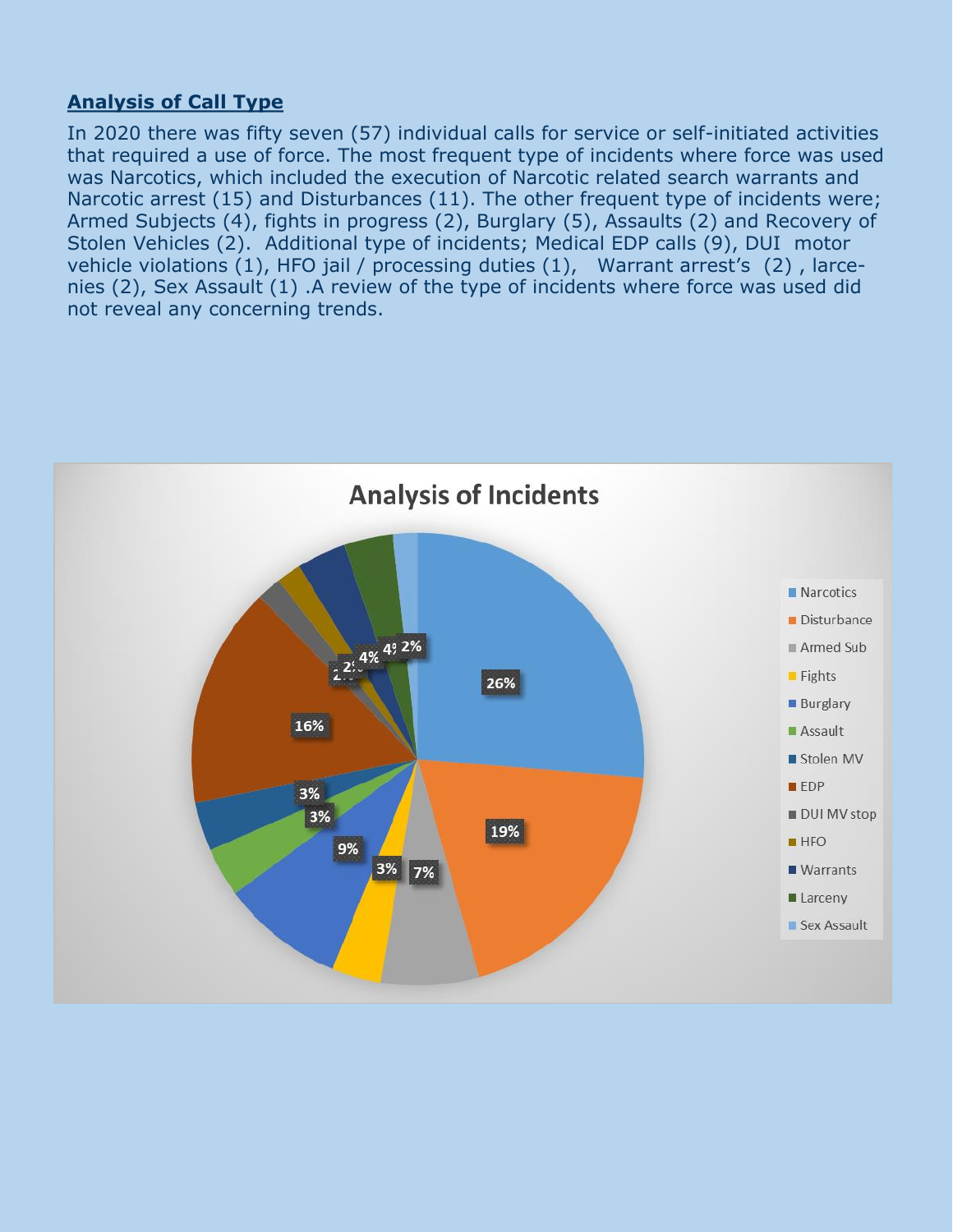#### **Analysis of Call Type**

In 2020 there was fifty seven (57) individual calls for service or self-initiated activities that required a use of force. The most frequent type of incidents where force was used was Narcotics, which included the execution of Narcotic related search warrants and Narcotic arrest (15) and Disturbances (11). The other frequent type of incidents were; Armed Subjects (4), fights in progress (2), Burglary (5), Assaults (2) and Recovery of Stolen Vehicles (2). Additional type of incidents; Medical EDP calls (9), DUI motor vehicle violations (1), HFO jail / processing duties (1), Warrant arrest's (2) , larcenies (2), Sex Assault (1) .A review of the type of incidents where force was used did not reveal any concerning trends.

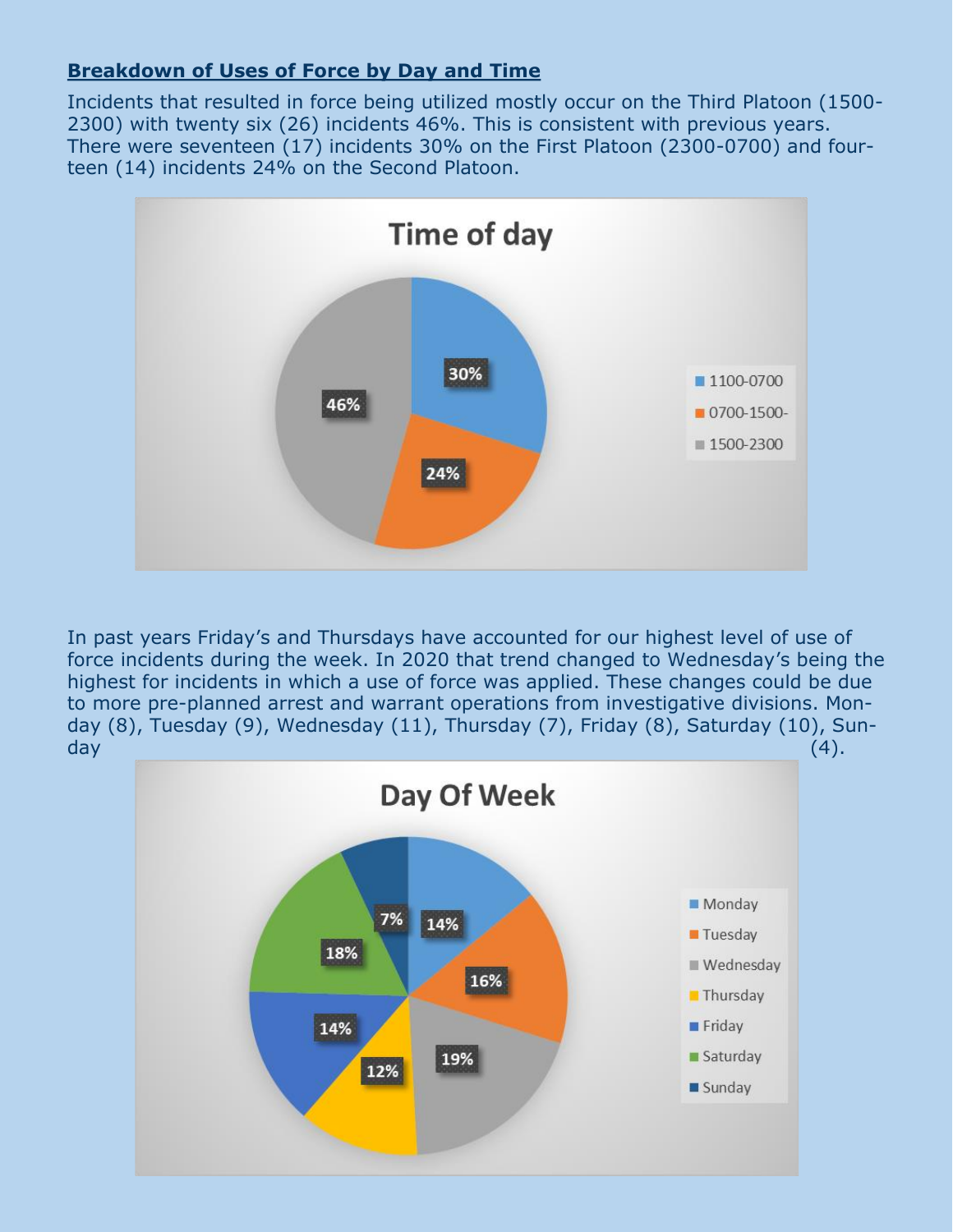#### **Breakdown of Uses of Force by Day and Time**

Incidents that resulted in force being utilized mostly occur on the Third Platoon (1500- 2300) with twenty six (26) incidents 46%. This is consistent with previous years. There were seventeen (17) incidents 30% on the First Platoon (2300-0700) and fourteen (14) incidents 24% on the Second Platoon.



In past years Friday's and Thursdays have accounted for our highest level of use of force incidents during the week. In 2020 that trend changed to Wednesday's being the highest for incidents in which a use of force was applied. These changes could be due to more pre-planned arrest and warrant operations from investigative divisions. Monday (8), Tuesday (9), Wednesday (11), Thursday (7), Friday (8), Saturday (10), Sunday (4).

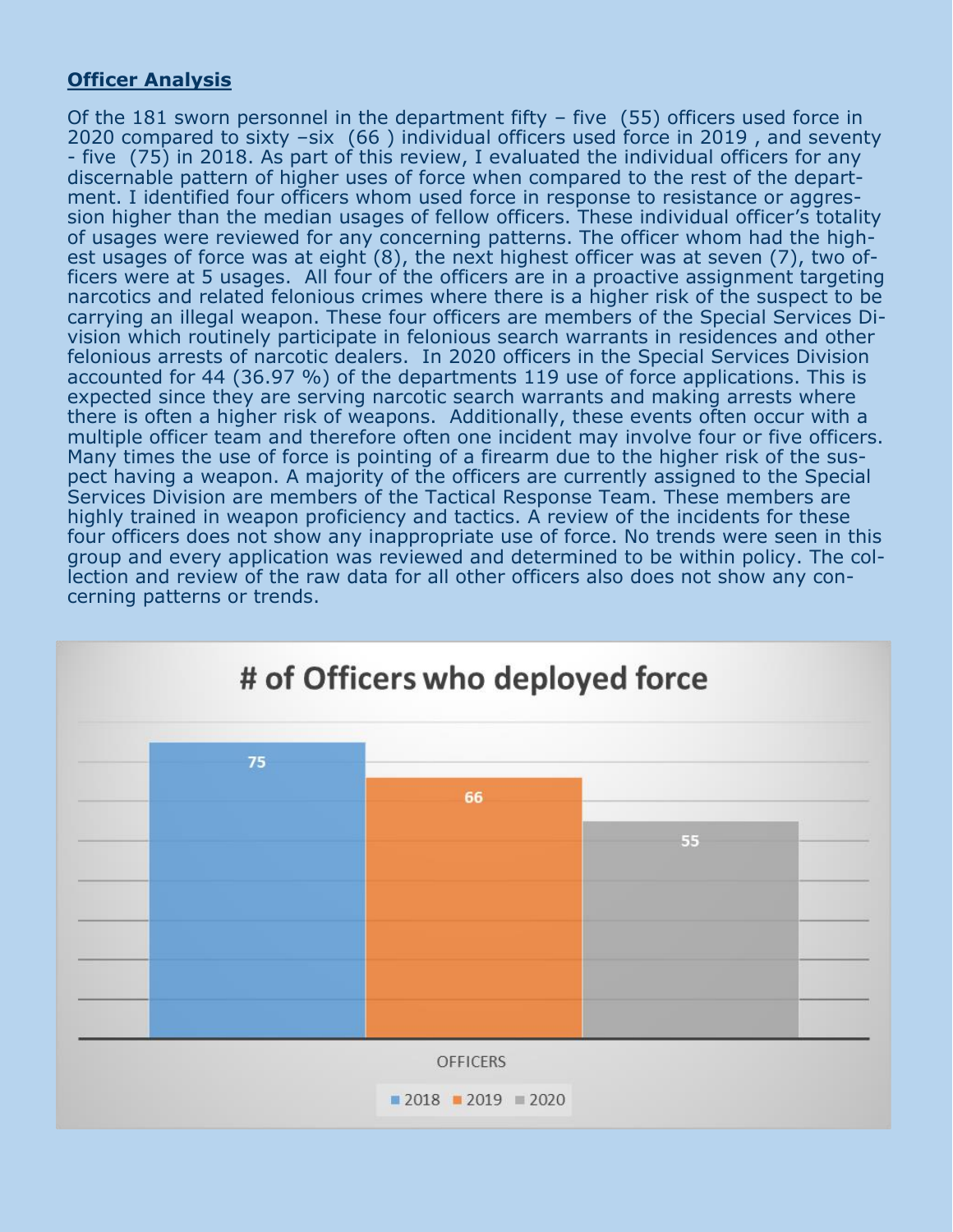#### **Officer Analysis**

Of the 181 sworn personnel in the department fifty – five (55) officers used force in 2020 compared to sixty –six (66 ) individual officers used force in 2019 , and seventy - five (75) in 2018. As part of this review, I evaluated the individual officers for any discernable pattern of higher uses of force when compared to the rest of the department. I identified four officers whom used force in response to resistance or aggression higher than the median usages of fellow officers. These individual officer's totality of usages were reviewed for any concerning patterns. The officer whom had the highest usages of force was at eight (8), the next highest officer was at seven (7), two officers were at 5 usages. All four of the officers are in a proactive assignment targeting narcotics and related felonious crimes where there is a higher risk of the suspect to be carrying an illegal weapon. These four officers are members of the Special Services Division which routinely participate in felonious search warrants in residences and other felonious arrests of narcotic dealers. In 2020 officers in the Special Services Division accounted for 44 (36.97 %) of the departments 119 use of force applications. This is expected since they are serving narcotic search warrants and making arrests where there is often a higher risk of weapons. Additionally, these events often occur with a multiple officer team and therefore often one incident may involve four or five officers. Many times the use of force is pointing of a firearm due to the higher risk of the suspect having a weapon. A majority of the officers are currently assigned to the Special Services Division are members of the Tactical Response Team. These members are highly trained in weapon proficiency and tactics. A review of the incidents for these four officers does not show any inappropriate use of force. No trends were seen in this group and every application was reviewed and determined to be within policy. The collection and review of the raw data for all other officers also does not show any concerning patterns or trends.

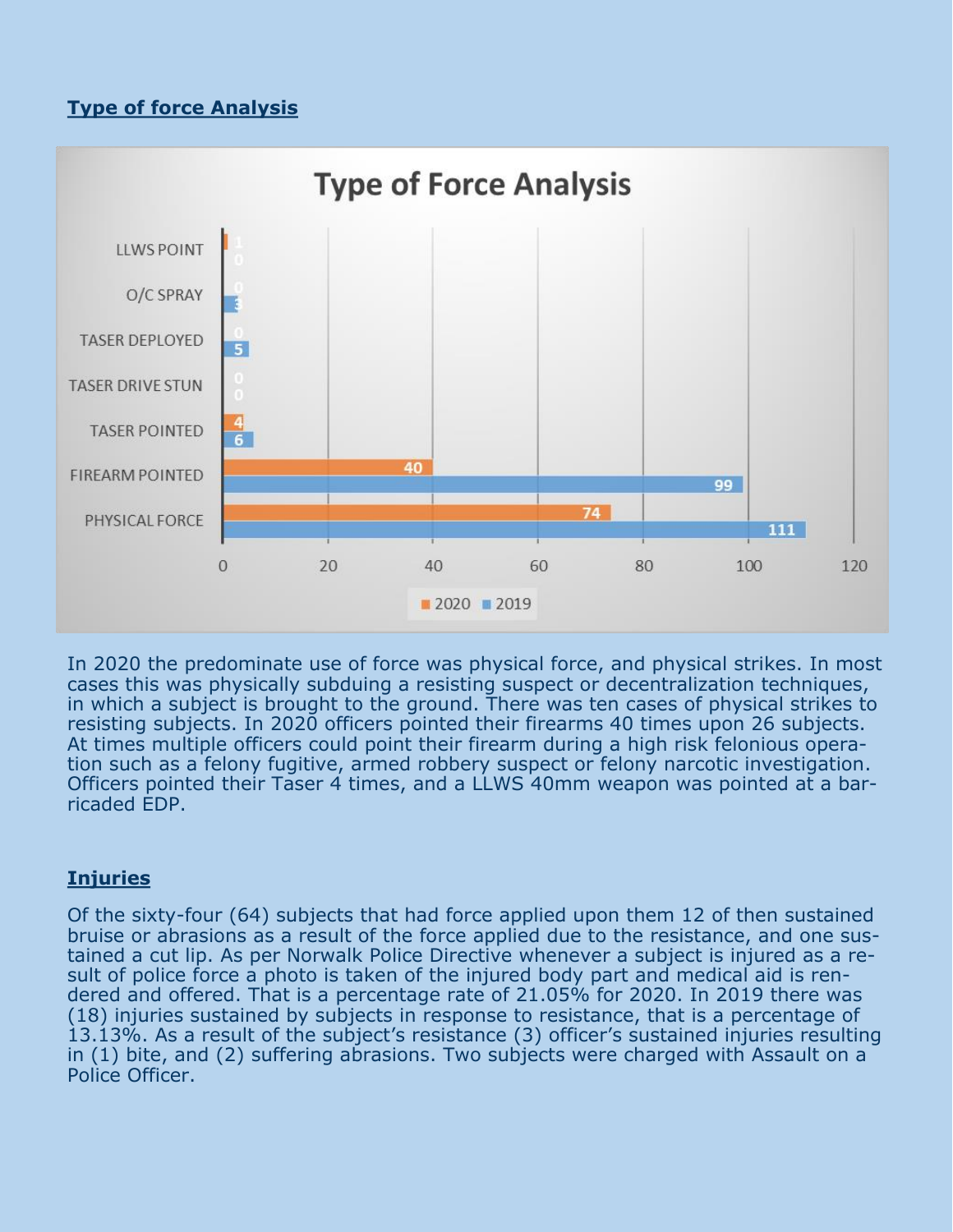#### **Type of force Analysis**



In 2020 the predominate use of force was physical force, and physical strikes. In most cases this was physically subduing a resisting suspect or decentralization techniques, in which a subject is brought to the ground. There was ten cases of physical strikes to resisting subjects. In 2020 officers pointed their firearms 40 times upon 26 subjects. At times multiple officers could point their firearm during a high risk felonious operation such as a felony fugitive, armed robbery suspect or felony narcotic investigation. Officers pointed their Taser 4 times, and a LLWS 40mm weapon was pointed at a barricaded EDP.

#### **Injuries**

Of the sixty-four (64) subjects that had force applied upon them 12 of then sustained bruise or abrasions as a result of the force applied due to the resistance, and one sustained a cut lip. As per Norwalk Police Directive whenever a subject is injured as a result of police force a photo is taken of the injured body part and medical aid is rendered and offered. That is a percentage rate of 21.05% for 2020. In 2019 there was (18) injuries sustained by subjects in response to resistance, that is a percentage of 13.13%. As a result of the subject's resistance (3) officer's sustained injuries resulting in (1) bite, and (2) suffering abrasions. Two subjects were charged with Assault on a Police Officer.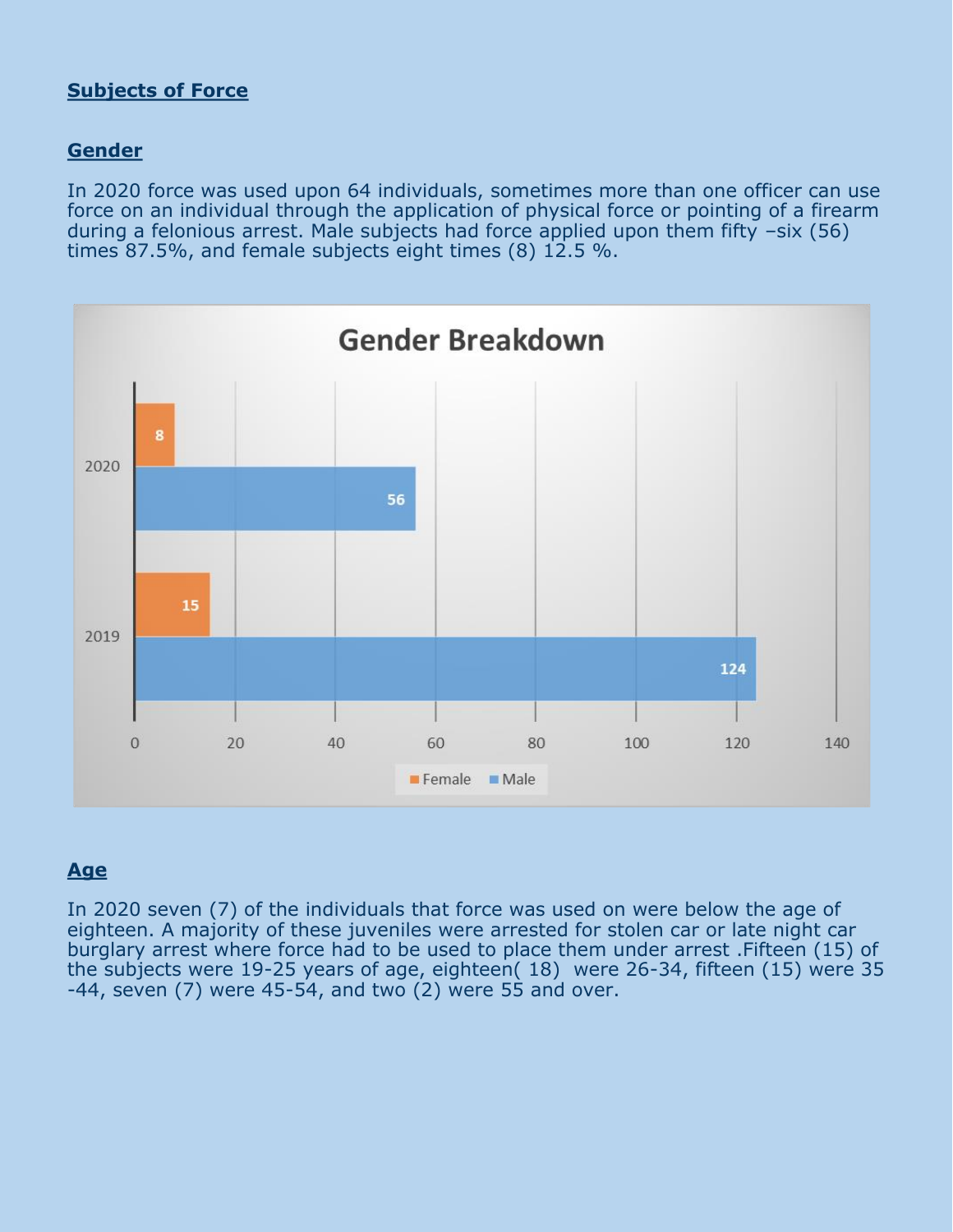#### **Subjects of Force**

#### **Gender**

In 2020 force was used upon 64 individuals, sometimes more than one officer can use force on an individual through the application of physical force or pointing of a firearm during a felonious arrest. Male subjects had force applied upon them fifty –six (56) times 87.5%, and female subjects eight times (8) 12.5 %.



#### **Age**

In 2020 seven (7) of the individuals that force was used on were below the age of eighteen. A majority of these juveniles were arrested for stolen car or late night car burglary arrest where force had to be used to place them under arrest .Fifteen (15) of the subjects were 19-25 years of age, eighteen( 18) were 26-34, fifteen (15) were 35  $-44$ , seven (7) were  $45-54$ , and two  $(2)$  were 55 and over.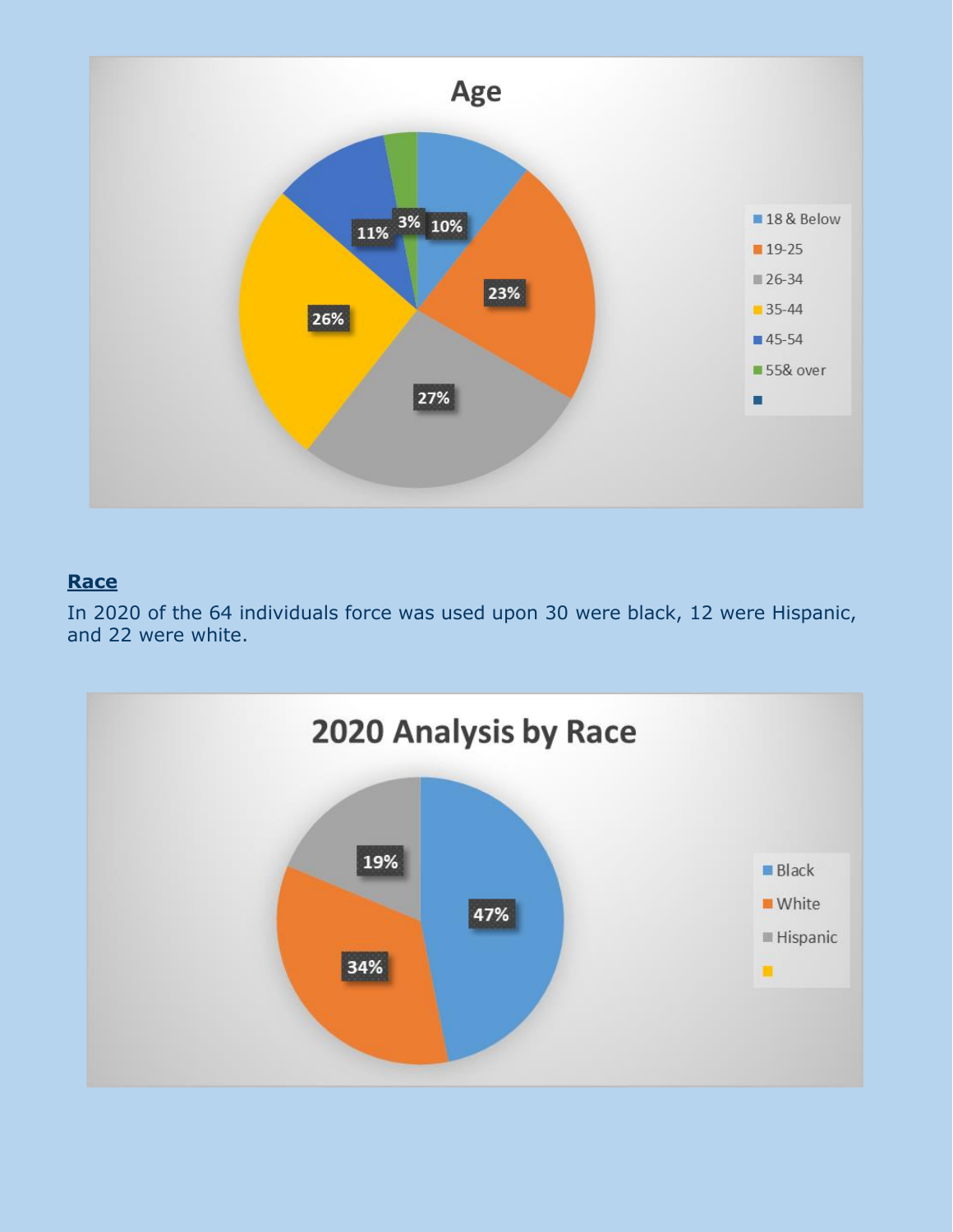

#### **Race**

In 2020 of the 64 individuals force was used upon 30 were black, 12 were Hispanic, and 22 were white.

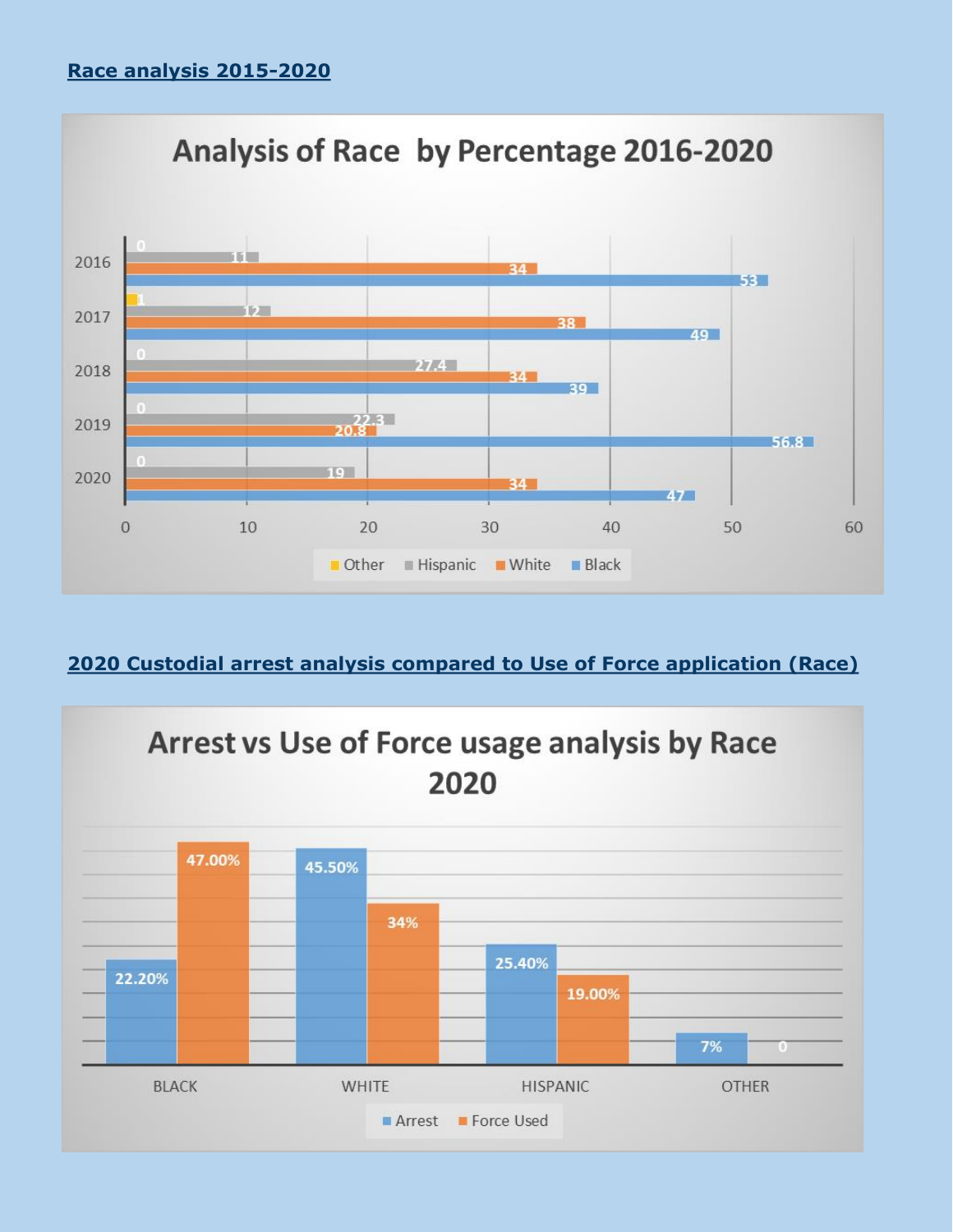

#### **2020 Custodial arrest analysis compared to Use of Force application (Race)**

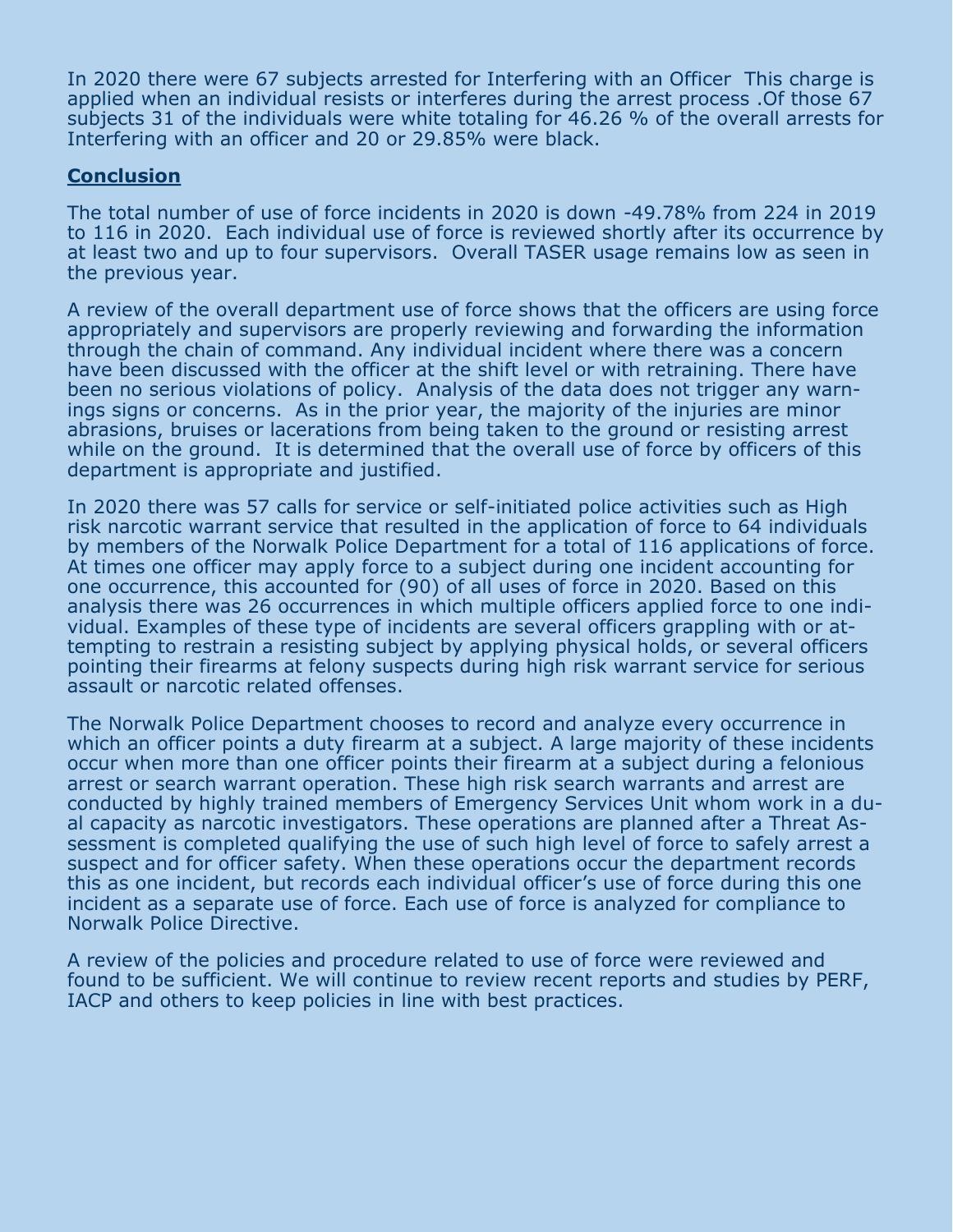In 2020 there were 67 subjects arrested for Interfering with an Officer This charge is applied when an individual resists or interferes during the arrest process .Of those 67 subjects 31 of the individuals were white totaling for 46.26 % of the overall arrests for Interfering with an officer and 20 or 29.85% were black.

#### **Conclusion**

The total number of use of force incidents in 2020 is down -49.78% from 224 in 2019 to 116 in 2020. Each individual use of force is reviewed shortly after its occurrence by at least two and up to four supervisors. Overall TASER usage remains low as seen in the previous year.

A review of the overall department use of force shows that the officers are using force appropriately and supervisors are properly reviewing and forwarding the information through the chain of command. Any individual incident where there was a concern have been discussed with the officer at the shift level or with retraining. There have been no serious violations of policy. Analysis of the data does not trigger any warnings signs or concerns. As in the prior year, the majority of the injuries are minor abrasions, bruises or lacerations from being taken to the ground or resisting arrest while on the ground. It is determined that the overall use of force by officers of this department is appropriate and justified.

In 2020 there was 57 calls for service or self-initiated police activities such as High risk narcotic warrant service that resulted in the application of force to 64 individuals by members of the Norwalk Police Department for a total of 116 applications of force. At times one officer may apply force to a subject during one incident accounting for one occurrence, this accounted for (90) of all uses of force in 2020. Based on this analysis there was 26 occurrences in which multiple officers applied force to one individual. Examples of these type of incidents are several officers grappling with or attempting to restrain a resisting subject by applying physical holds, or several officers pointing their firearms at felony suspects during high risk warrant service for serious assault or narcotic related offenses.

The Norwalk Police Department chooses to record and analyze every occurrence in which an officer points a duty firearm at a subject. A large majority of these incidents occur when more than one officer points their firearm at a subject during a felonious arrest or search warrant operation. These high risk search warrants and arrest are conducted by highly trained members of Emergency Services Unit whom work in a dual capacity as narcotic investigators. These operations are planned after a Threat Assessment is completed qualifying the use of such high level of force to safely arrest a suspect and for officer safety. When these operations occur the department records this as one incident, but records each individual officer's use of force during this one incident as a separate use of force. Each use of force is analyzed for compliance to Norwalk Police Directive.

A review of the policies and procedure related to use of force were reviewed and found to be sufficient. We will continue to review recent reports and studies by PERF, IACP and others to keep policies in line with best practices.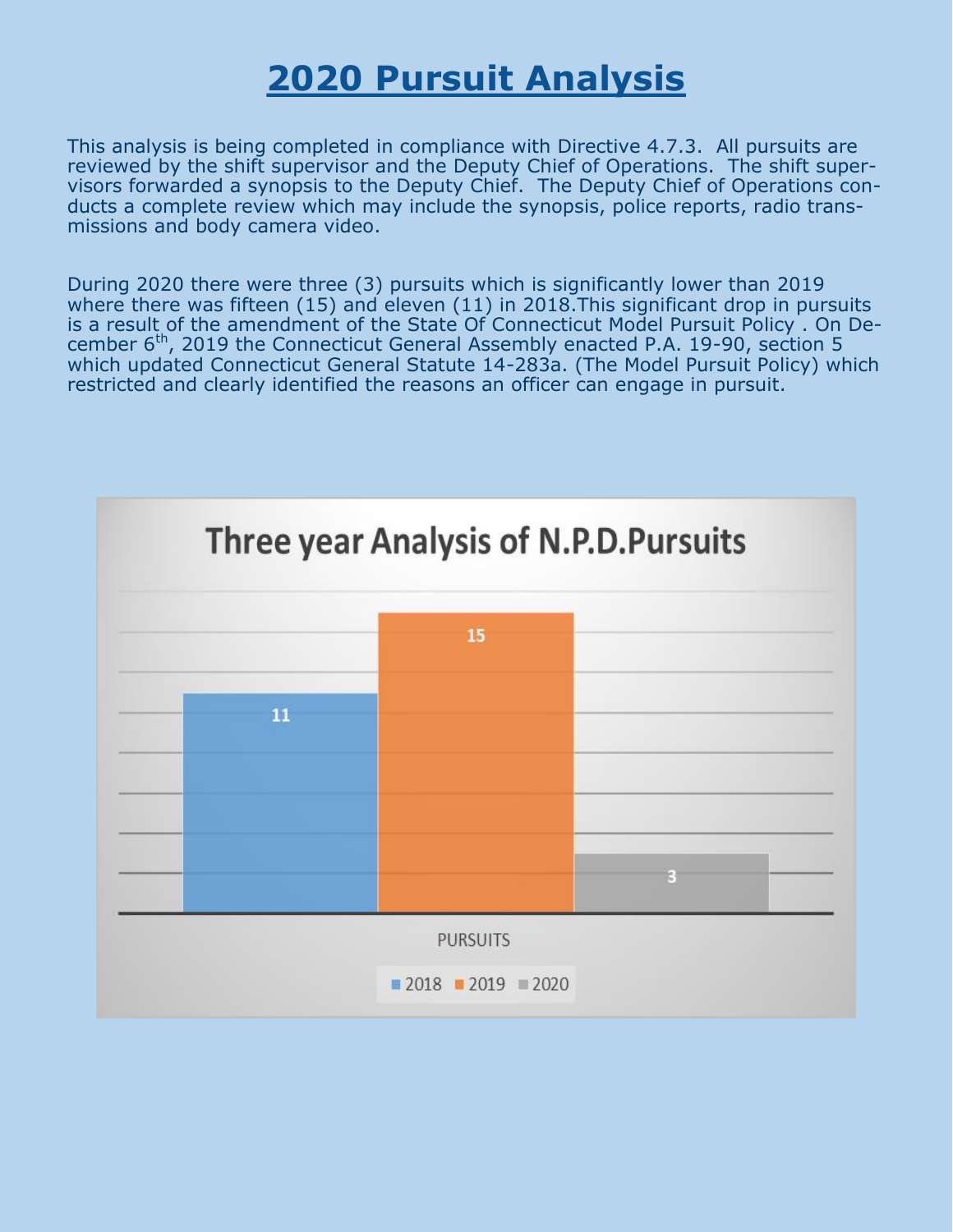# **2020 Pursuit Analysis**

This analysis is being completed in compliance with Directive 4.7.3. All pursuits are reviewed by the shift supervisor and the Deputy Chief of Operations. The shift supervisors forwarded a synopsis to the Deputy Chief. The Deputy Chief of Operations conducts a complete review which may include the synopsis, police reports, radio transmissions and body camera video.

During 2020 there were three (3) pursuits which is significantly lower than 2019 where there was fifteen (15) and eleven (11) in 2018.This significant drop in pursuits is a result of the amendment of the State Of Connecticut Model Pursuit Policy . On December  $6<sup>th</sup>$ , 2019 the Connecticut General Assembly enacted P.A. 19-90, section 5 which updated Connecticut General Statute 14-283a. (The Model Pursuit Policy) which restricted and clearly identified the reasons an officer can engage in pursuit.

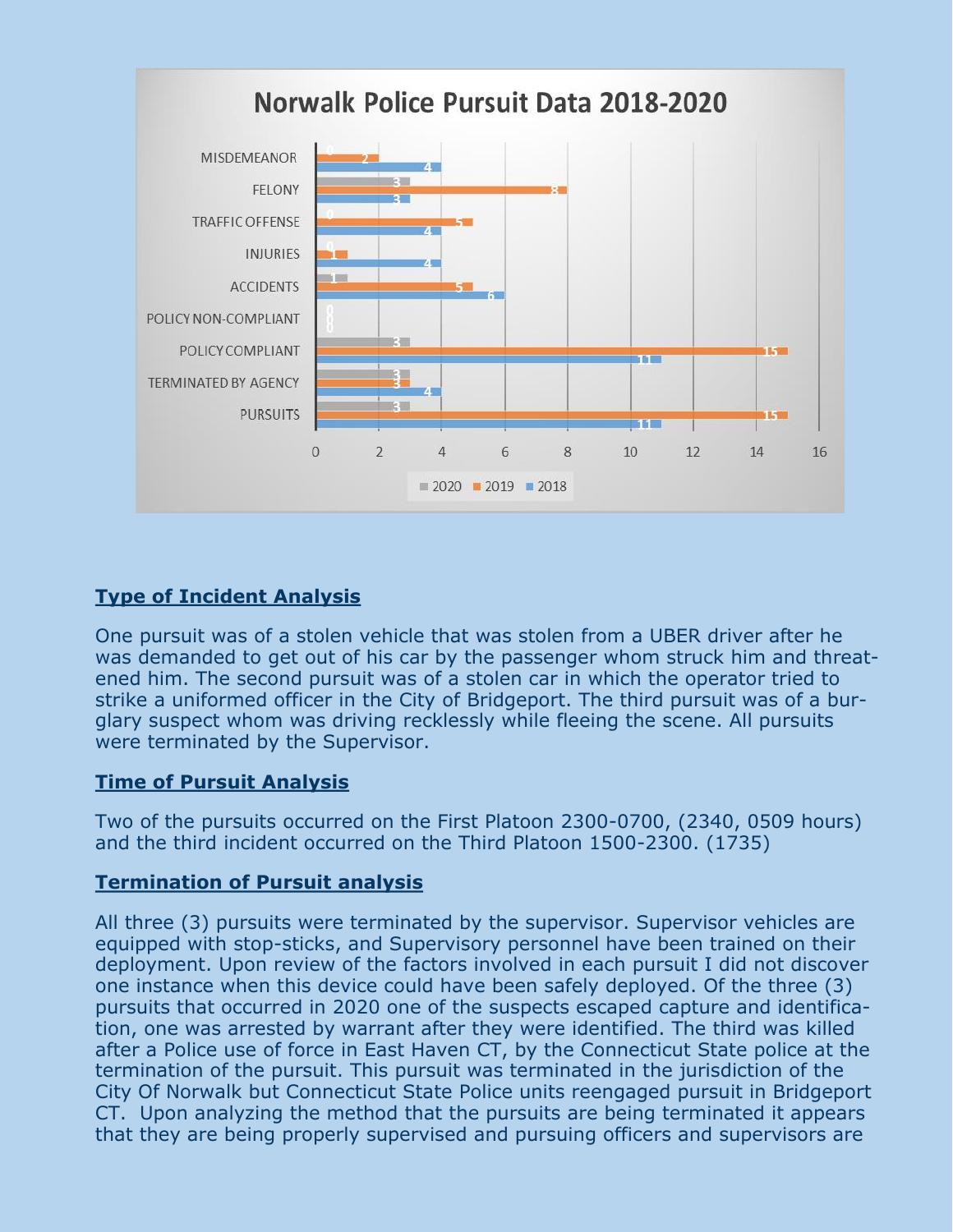

#### **Type of Incident Analysis**

One pursuit was of a stolen vehicle that was stolen from a UBER driver after he was demanded to get out of his car by the passenger whom struck him and threatened him. The second pursuit was of a stolen car in which the operator tried to strike a uniformed officer in the City of Bridgeport. The third pursuit was of a burglary suspect whom was driving recklessly while fleeing the scene. All pursuits were terminated by the Supervisor.

#### **Time of Pursuit Analysis**

Two of the pursuits occurred on the First Platoon 2300-0700, (2340, 0509 hours) and the third incident occurred on the Third Platoon 1500-2300. (1735)

#### **Termination of Pursuit analysis**

All three (3) pursuits were terminated by the supervisor. Supervisor vehicles are equipped with stop-sticks, and Supervisory personnel have been trained on their deployment. Upon review of the factors involved in each pursuit I did not discover one instance when this device could have been safely deployed. Of the three (3) pursuits that occurred in 2020 one of the suspects escaped capture and identification, one was arrested by warrant after they were identified. The third was killed after a Police use of force in East Haven CT, by the Connecticut State police at the termination of the pursuit. This pursuit was terminated in the jurisdiction of the City Of Norwalk but Connecticut State Police units reengaged pursuit in Bridgeport CT. Upon analyzing the method that the pursuits are being terminated it appears that they are being properly supervised and pursuing officers and supervisors are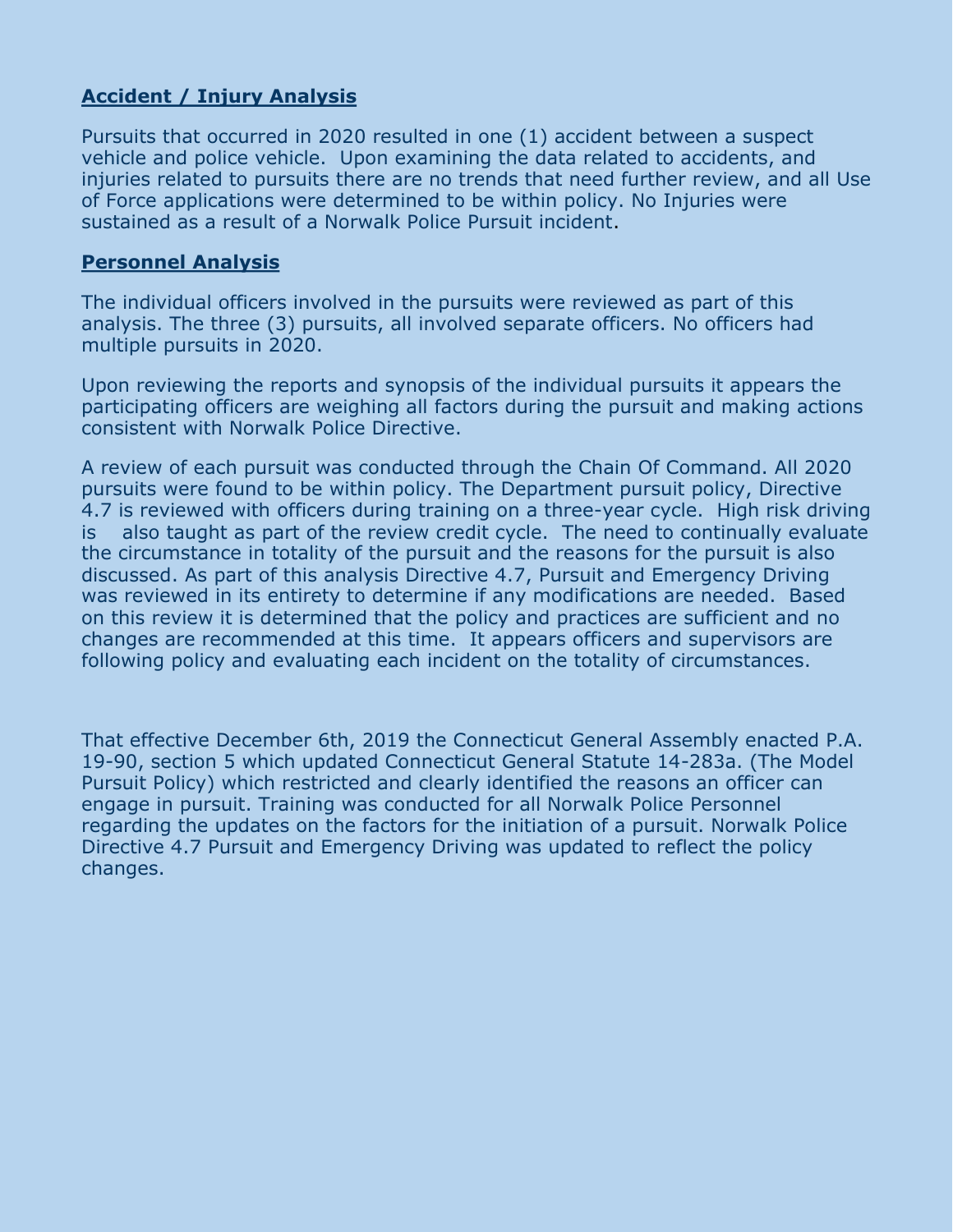#### **Accident / Injury Analysis**

Pursuits that occurred in 2020 resulted in one (1) accident between a suspect vehicle and police vehicle. Upon examining the data related to accidents, and injuries related to pursuits there are no trends that need further review, and all Use of Force applications were determined to be within policy. No Injuries were sustained as a result of a Norwalk Police Pursuit incident.

#### **Personnel Analysis**

The individual officers involved in the pursuits were reviewed as part of this analysis. The three (3) pursuits, all involved separate officers. No officers had multiple pursuits in 2020.

Upon reviewing the reports and synopsis of the individual pursuits it appears the participating officers are weighing all factors during the pursuit and making actions consistent with Norwalk Police Directive.

A review of each pursuit was conducted through the Chain Of Command. All 2020 pursuits were found to be within policy. The Department pursuit policy, Directive 4.7 is reviewed with officers during training on a three-year cycle. High risk driving is also taught as part of the review credit cycle. The need to continually evaluate the circumstance in totality of the pursuit and the reasons for the pursuit is also discussed. As part of this analysis Directive 4.7, Pursuit and Emergency Driving was reviewed in its entirety to determine if any modifications are needed. Based on this review it is determined that the policy and practices are sufficient and no changes are recommended at this time. It appears officers and supervisors are following policy and evaluating each incident on the totality of circumstances.

That effective December 6th, 2019 the Connecticut General Assembly enacted P.A. 19-90, section 5 which updated Connecticut General Statute 14-283a. (The Model Pursuit Policy) which restricted and clearly identified the reasons an officer can engage in pursuit. Training was conducted for all Norwalk Police Personnel regarding the updates on the factors for the initiation of a pursuit. Norwalk Police Directive 4.7 Pursuit and Emergency Driving was updated to reflect the policy changes.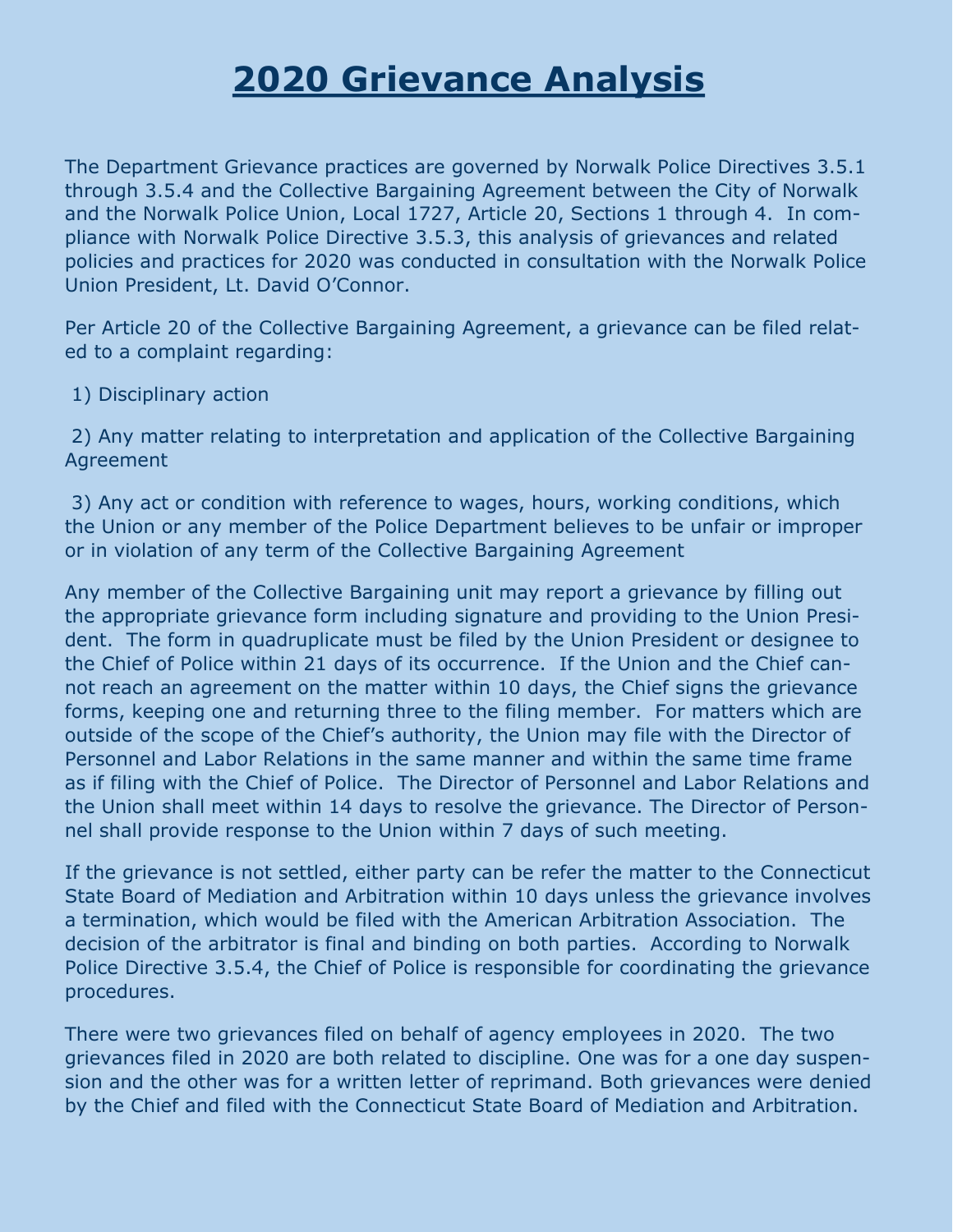# **2020 Grievance Analysis**

The Department Grievance practices are governed by Norwalk Police Directives 3.5.1 through 3.5.4 and the Collective Bargaining Agreement between the City of Norwalk and the Norwalk Police Union, Local 1727, Article 20, Sections 1 through 4. In compliance with Norwalk Police Directive 3.5.3, this analysis of grievances and related policies and practices for 2020 was conducted in consultation with the Norwalk Police Union President, Lt. David O'Connor.

Per Article 20 of the Collective Bargaining Agreement, a grievance can be filed related to a complaint regarding:

1) Disciplinary action

2) Any matter relating to interpretation and application of the Collective Bargaining Agreement

3) Any act or condition with reference to wages, hours, working conditions, which the Union or any member of the Police Department believes to be unfair or improper or in violation of any term of the Collective Bargaining Agreement

Any member of the Collective Bargaining unit may report a grievance by filling out the appropriate grievance form including signature and providing to the Union President. The form in quadruplicate must be filed by the Union President or designee to the Chief of Police within 21 days of its occurrence. If the Union and the Chief cannot reach an agreement on the matter within 10 days, the Chief signs the grievance forms, keeping one and returning three to the filing member. For matters which are outside of the scope of the Chief's authority, the Union may file with the Director of Personnel and Labor Relations in the same manner and within the same time frame as if filing with the Chief of Police. The Director of Personnel and Labor Relations and the Union shall meet within 14 days to resolve the grievance. The Director of Personnel shall provide response to the Union within 7 days of such meeting.

If the grievance is not settled, either party can be refer the matter to the Connecticut State Board of Mediation and Arbitration within 10 days unless the grievance involves a termination, which would be filed with the American Arbitration Association. The decision of the arbitrator is final and binding on both parties. According to Norwalk Police Directive 3.5.4, the Chief of Police is responsible for coordinating the grievance procedures.

There were two grievances filed on behalf of agency employees in 2020. The two grievances filed in 2020 are both related to discipline. One was for a one day suspension and the other was for a written letter of reprimand. Both grievances were denied by the Chief and filed with the Connecticut State Board of Mediation and Arbitration.